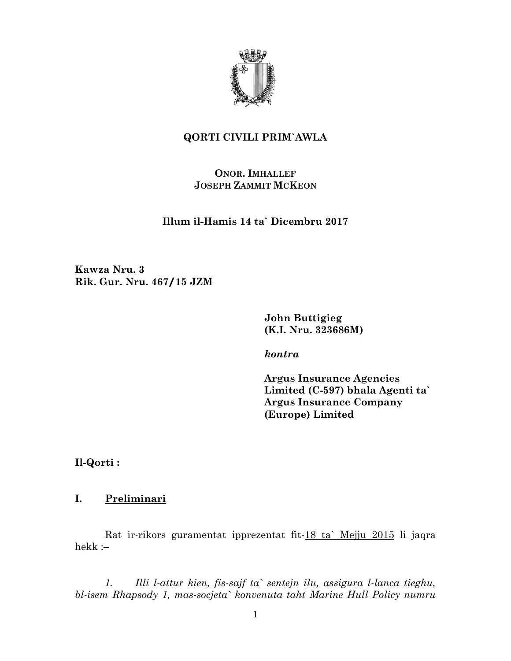

# **QORTI CIVILI PRIM`AWLA**

## **ONOR. IMHALLEF JOSEPH ZAMMIT MCKEON**

**Illum il-Hamis 14 ta` Dicembru 2017** 

**Kawza Nru. 3 Rik. Gur. Nru. 467/15 JZM** 

> **John Buttigieg (K.I. Nru. 323686M)**

*kontra* 

**Argus Insurance Agencies Limited (C-597) bhala Agenti ta` Argus Insurance Company (Europe) Limited** 

**Il-Qorti :** 

## **I. Preliminari**

Rat ir-rikors guramentat ipprezentat fit-18 ta` Mejju 2015 li jaqra hekk :–

*1. Illi l-attur kien, fis-sajf ta` sentejn ilu, assigura l-lanca tieghu, bl-isem Rhapsody 1, mas-socjeta` konvenuta taht Marine Hull Policy numru*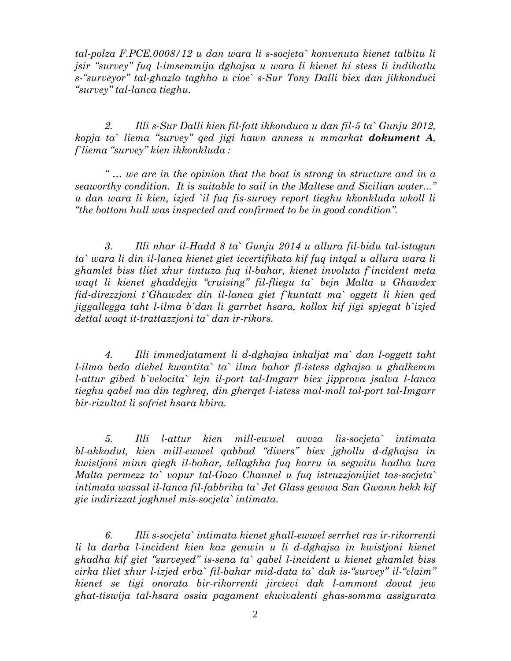*tal-polza F.PCE.0008/12 u dan wara li s-socjeta` konvenuta kienet talbitu li jsir "survey" fuq l-imsemmija dghajsa u wara li kienet hi stess li indikatlu s-"surveyor" tal-ghazla taghha u cioe` s-Sur Tony Dalli biex dan jikkonduci "survey" tal-lanca tieghu.* 

*2. Illi s-Sur Dalli kien fil-fatt ikkonduca u dan fil-5 ta` Gunju 2012, kopja ta` liema "survey" qed jigi hawn anness u mmarkat dokument A, f`liema "survey" kien ikkonkluda :* 

*" … we are in the opinion that the boat is strong in structure and in a seaworthy condition. It is suitable to sail in the Maltese and Sicilian water..." u dan wara li kien, izjed `il fuq fis-survey report tieghu kkonkluda wkoll li "the bottom hull was inspected and confirmed to be in good condition".* 

*3. Illi nhar il-Hadd 8 ta` Gunju 2014 u allura fil-bidu tal-istagun ta` wara li din il-lanca kienet giet iccertifikata kif fuq intqal u allura wara li ghamlet biss tliet xhur tintuza fuq il-bahar, kienet involuta f`incident meta waqt li kienet ghaddejja "cruising" fil-fliegu ta` bejn Malta u Ghawdex fid-direzzjoni t`Ghawdex din il-lanca giet f`kuntatt ma` oggett li kien qed jiggallegga taht l-ilma b`dan li garrbet hsara, kollox kif jigi spjegat b`izjed dettal waqt it-trattazzjoni ta` dan ir-rikors.* 

*4. Illi immedjatament li d-dghajsa inkaljat ma` dan l-oggett taht l-ilma beda diehel kwantita` ta` ilma bahar fl-istess dghajsa u ghalkemm l-attur gibed b`velocita` lejn il-port tal-Imgarr biex jipprova jsalva l-lanca tieghu qabel ma din teghreq, din gherqet l-istess mal-moll tal-port tal-Imgarr bir-rizultat li sofriet hsara kbira.* 

*5. Illi l-attur kien mill-ewwel avvza lis-socjeta` intimata bl-akkadut, kien mill-ewwel qabbad "divers" biex jghollu d-dghajsa in kwistjoni minn qiegh il-bahar, tellaghha fuq karru in segwitu hadha lura Malta permezz ta` vapur tal-Gozo Channel u fuq istruzzjonijiet tas-socjeta` intimata wassal il-lanca fil-fabbrika ta` Jet Glass gewwa San Gwann hekk kif gie indirizzat jaghmel mis-socjeta` intimata.* 

*6. Illi s-socjeta` intimata kienet ghall-ewwel serrhet ras ir-rikorrenti li la darba l-incident kien kaz genwin u li d-dghajsa in kwistjoni kienet ghadha kif giet "surveyed" is-sena ta` qabel l-incident u kienet ghamlet biss cirka tliet xhur l-izjed erba` fil-bahar mid-data ta` dak is-"survey" il-"claim" kienet se tigi onorata bir-rikorrenti jircievi dak l-ammont dovut jew ghat-tiswija tal-hsara ossia pagament ekwivalenti ghas-somma assigurata*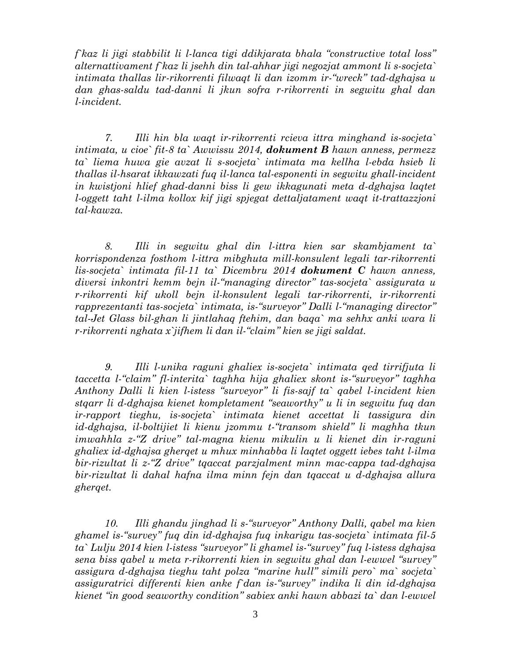*f`kaz li jigi stabbilit li l-lanca tigi ddikjarata bhala "constructive total loss" alternattivament f`kaz li jsehh din tal-ahhar jigi negozjat ammont li s-socjeta` intimata thallas lir-rikorrenti filwaqt li dan izomm ir-"wreck" tad-dghajsa u dan ghas-saldu tad-danni li jkun sofra r-rikorrenti in segwitu ghal dan l-incident.* 

*7. Illi hin bla waqt ir-rikorrenti rcieva ittra minghand is-socjeta` intimata, u cioe` fit-8 ta` Awwissu 2014, dokument B hawn anness, permezz ta` liema huwa gie avzat li s-socjeta` intimata ma kellha l-ebda hsieb li thallas il-hsarat ikkawzati fuq il-lanca tal-esponenti in segwitu ghall-incident in kwistjoni hlief ghad-danni biss li gew ikkagunati meta d-dghajsa laqtet l-oggett taht l-ilma kollox kif jigi spjegat dettaljatament waqt it-trattazzjoni tal-kawza.* 

*8. Illi in segwitu ghal din l-ittra kien sar skambjament ta` korrispondenza fosthom l-ittra mibghuta mill-konsulent legali tar-rikorrenti lis-socjeta` intimata fil-11 ta` Dicembru 2014 dokument C hawn anness, diversi inkontri kemm bejn il-"managing director" tas-socjeta` assigurata u r-rikorrenti kif ukoll bejn il-konsulent legali tar-rikorrenti, ir-rikorrenti rapprezentanti tas-socjeta` intimata, is-"surveyor" Dalli l-"managing director" tal-Jet Glass bil-ghan li jintlahaq ftehim, dan baqa` ma sehhx anki wara li r-rikorrenti nghata x`jifhem li dan il-"claim" kien se jigi saldat.* 

*9. Illi l-unika raguni ghaliex is-socjeta` intimata qed tirrifjuta li taccetta l-"claim" fl-interita` taghha hija ghaliex skont is-"surveyor" taghha Anthony Dalli li kien l-istess "surveyor" li fis-sajf ta` qabel l-incident kien stqarr li d-dghajsa kienet kompletament "seaworthy" u li in segwitu fuq dan ir-rapport tieghu, is-socjeta` intimata kienet accettat li tassigura din id-dghajsa, il-boltijiet li kienu jzommu t-"transom shield" li maghha tkun imwahhla z-"Z drive" tal-magna kienu mikulin u li kienet din ir-raguni ghaliex id-dghajsa gherqet u mhux minhabba li laqtet oggett iebes taht l-ilma bir-rizultat li z-"Z drive" tqaccat parzjalment minn mac-cappa tad-dghajsa bir-rizultat li dahal hafna ilma minn fejn dan tqaccat u d-dghajsa allura gherqet.* 

*10. Illi ghandu jinghad li s-"surveyor" Anthony Dalli, qabel ma kien ghamel is-"survey" fuq din id-dghajsa fuq inkarigu tas-socjeta` intimata fil-5 ta` Lulju 2014 kien l-istess "surveyor" li ghamel is-"survey" fuq l-istess dghajsa sena biss qabel u meta r-rikorrenti kien in segwitu ghal dan l-ewwel "survey" assigura d-dghajsa tieghu taht polza "marine hull" simili pero` ma` socjeta` assiguratrici differenti kien anke f`dan is-"survey" indika li din id-dghajsa kienet "in good seaworthy condition" sabiex anki hawn abbazi ta` dan l-ewwel*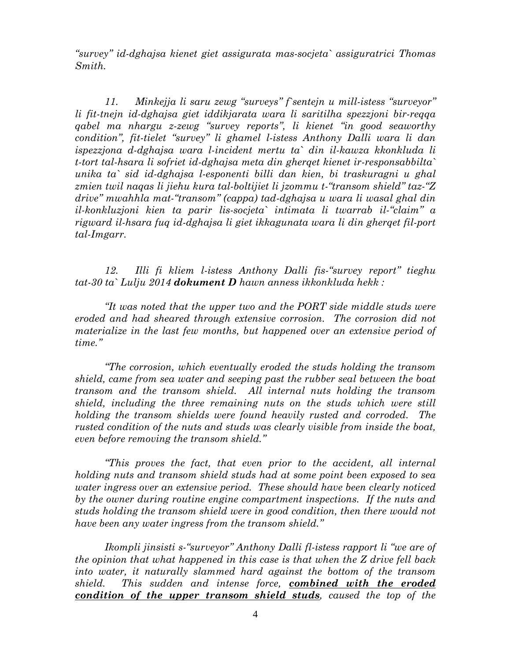*"survey" id-dghajsa kienet giet assigurata mas-socjeta` assiguratrici Thomas Smith.* 

*11. Minkejja li saru zewg "surveys" f`sentejn u mill-istess "surveyor" li fit-tnejn id-dghajsa giet iddikjarata wara li saritilha spezzjoni bir-reqqa qabel ma nhargu z-zewg "survey reports", li kienet "in good seaworthy condition", fit-tielet "survey" li ghamel l-istess Anthony Dalli wara li dan ispezzjona d-dghajsa wara l-incident mertu ta` din il-kawza kkonkluda li t-tort tal-hsara li sofriet id-dghajsa meta din gherqet kienet ir-responsabbilta` unika ta` sid id-dghajsa l-esponenti billi dan kien, bi traskuragni u ghal zmien twil naqas li jiehu kura tal-boltijiet li jzommu t-"transom shield" taz-"Z drive" mwahhla mat-"transom" (cappa) tad-dghajsa u wara li wasal ghal din il-konkluzjoni kien ta parir lis-socjeta` intimata li twarrab il-"claim" a rigward il-hsara fuq id-dghajsa li giet ikkagunata wara li din gherqet fil-port tal-Imgarr.* 

*12. Illi fi kliem l-istess Anthony Dalli fis-"survey report" tieghu tat-30 ta` Lulju 2014 dokument D hawn anness ikkonkluda hekk :* 

*"It was noted that the upper two and the PORT side middle studs were eroded and had sheared through extensive corrosion. The corrosion did not materialize in the last few months, but happened over an extensive period of time."* 

*"The corrosion, which eventually eroded the studs holding the transom shield, came from sea water and seeping past the rubber seal between the boat transom and the transom shield. All internal nuts holding the transom shield, including the three remaining nuts on the studs which were still holding the transom shields were found heavily rusted and corroded. The rusted condition of the nuts and studs was clearly visible from inside the boat, even before removing the transom shield."* 

*"This proves the fact, that even prior to the accident, all internal holding nuts and transom shield studs had at some point been exposed to sea water ingress over an extensive period. These should have been clearly noticed by the owner during routine engine compartment inspections. If the nuts and studs holding the transom shield were in good condition, then there would not have been any water ingress from the transom shield."* 

*Ikompli jinsisti s-"surveyor" Anthony Dalli fl-istess rapport li "we are of the opinion that what happened in this case is that when the Z drive fell back into water, it naturally slammed hard against the bottom of the transom shield. This sudden and intense force, combined with the eroded condition of the upper transom shield studs, caused the top of the*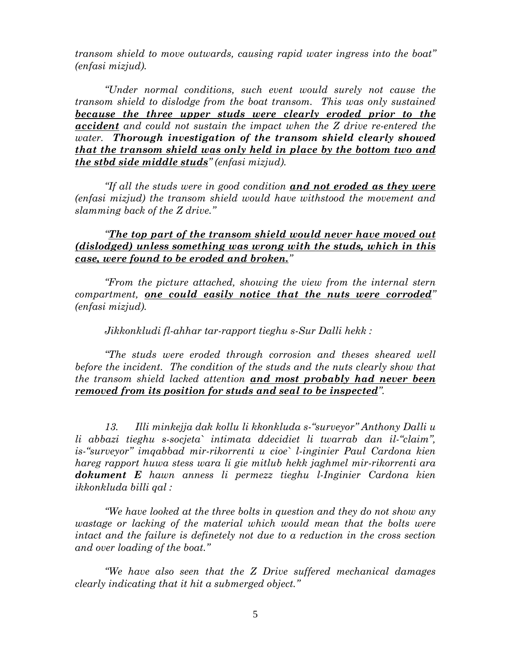*transom shield to move outwards, causing rapid water ingress into the boat" (enfasi mizjud).* 

*"Under normal conditions, such event would surely not cause the transom shield to dislodge from the boat transom. This was only sustained because the three upper studs were clearly eroded prior to the accident and could not sustain the impact when the Z drive re-entered the water. Thorough investigation of the transom shield clearly showed that the transom shield was only held in place by the bottom two and the stbd side middle studs" (enfasi mizjud).* 

*"If all the studs were in good condition and not eroded as they were (enfasi mizjud) the transom shield would have withstood the movement and slamming back of the Z drive."* 

*"The top part of the transom shield would never have moved out (dislodged) unless something was wrong with the studs, which in this case, were found to be eroded and broken."* 

*"From the picture attached, showing the view from the internal stern compartment, one could easily notice that the nuts were corroded" (enfasi mizjud).* 

*Jikkonkludi fl-ahhar tar-rapport tieghu s-Sur Dalli hekk :* 

*"The studs were eroded through corrosion and theses sheared well before the incident. The condition of the studs and the nuts clearly show that the transom shield lacked attention and most probably had never been removed from its position for studs and seal to be inspected".* 

*13. Illi minkejja dak kollu li kkonkluda s-"surveyor" Anthony Dalli u li abbazi tieghu s-socjeta` intimata ddecidiet li twarrab dan il-"claim", is-"surveyor" imqabbad mir-rikorrenti u cioe` l-inginier Paul Cardona kien hareg rapport huwa stess wara li gie mitlub hekk jaghmel mir-rikorrenti ara dokument E hawn anness li permezz tieghu l-Inginier Cardona kien ikkonkluda billi qal :* 

*"We have looked at the three bolts in question and they do not show any wastage or lacking of the material which would mean that the bolts were intact and the failure is definetely not due to a reduction in the cross section and over loading of the boat."* 

*"We have also seen that the Z Drive suffered mechanical damages clearly indicating that it hit a submerged object."*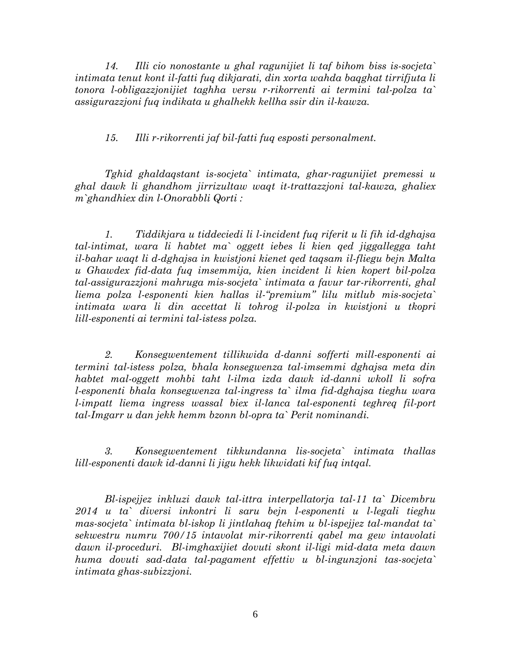*14. Illi cio nonostante u ghal ragunijiet li taf bihom biss is-socjeta` intimata tenut kont il-fatti fuq dikjarati, din xorta wahda baqghat tirrifjuta li tonora l-obligazzjonijiet taghha versu r-rikorrenti ai termini tal-polza ta` assigurazzjoni fuq indikata u ghalhekk kellha ssir din il-kawza.* 

*15. Illi r-rikorrenti jaf bil-fatti fuq esposti personalment.* 

*Tghid ghaldaqstant is-socjeta` intimata, ghar-ragunijiet premessi u ghal dawk li ghandhom jirrizultaw waqt it-trattazzjoni tal-kawza, ghaliex m`ghandhiex din l-Onorabbli Qorti :* 

*1. Tiddikjara u tiddeciedi li l-incident fuq riferit u li fih id-dghajsa tal-intimat, wara li habtet ma` oggett iebes li kien qed jiggallegga taht il-bahar waqt li d-dghajsa in kwistjoni kienet qed taqsam il-fliegu bejn Malta u Ghawdex fid-data fuq imsemmija, kien incident li kien kopert bil-polza tal-assigurazzjoni mahruga mis-socjeta` intimata a favur tar-rikorrenti, ghal liema polza l-esponenti kien hallas il-"premium" lilu mitlub mis-socjeta` intimata wara li din accettat li tohrog il-polza in kwistjoni u tkopri lill-esponenti ai termini tal-istess polza.* 

*2. Konsegwentement tillikwida d-danni sofferti mill-esponenti ai termini tal-istess polza, bhala konsegwenza tal-imsemmi dghajsa meta din habtet mal-oggett mohbi taht l-ilma izda dawk id-danni wkoll li sofra l-esponenti bhala konsegwenza tal-ingress ta` ilma fid-dghajsa tieghu wara l-impatt liema ingress wassal biex il-lanca tal-esponenti teghreq fil-port tal-Imgarr u dan jekk hemm bzonn bl-opra ta` Perit nominandi.* 

*3. Konsegwentement tikkundanna lis-socjeta` intimata thallas lill-esponenti dawk id-danni li jigu hekk likwidati kif fuq intqal.* 

*Bl-ispejjez inkluzi dawk tal-ittra interpellatorja tal-11 ta` Dicembru 2014 u ta` diversi inkontri li saru bejn l-esponenti u l-legali tieghu mas-socjeta` intimata bl-iskop li jintlahaq ftehim u bl-ispejjez tal-mandat ta` sekwestru numru 700/15 intavolat mir-rikorrenti qabel ma gew intavolati dawn il-proceduri. Bl-imghaxijiet dovuti skont il-ligi mid-data meta dawn huma dovuti sad-data tal-pagament effettiv u bl-ingunzjoni tas-socjeta` intimata ghas-subizzjoni.*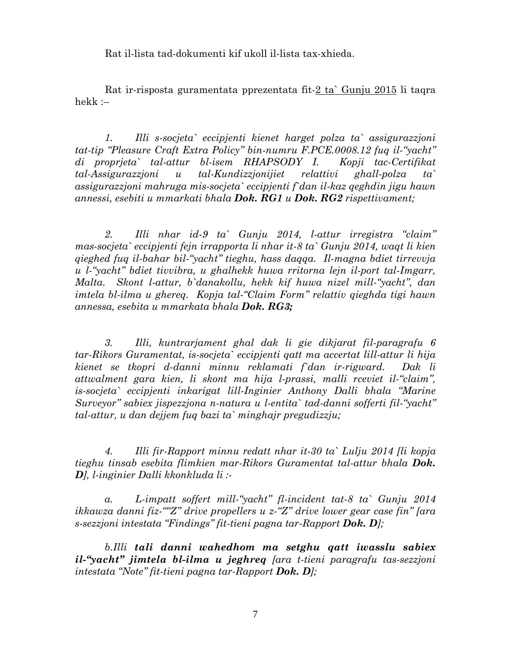Rat il-lista tad-dokumenti kif ukoll il-lista tax-xhieda.

Rat ir-risposta guramentata pprezentata fit-2 ta` Gunju 2015 li taqra hekk :–

*1. Illi s-socjeta` eccipjenti kienet harget polza ta` assigurazzjoni tat-tip "Pleasure Craft Extra Policy" bin-numru F.PCE.0008.12 fuq il-"yacht" di proprjeta` tal-attur bl-isem RHAPSODY I. Kopji tac-Certifikat tal-Assigurazzjoni u tal-Kundizzjonijiet relattivi ghall-polza ta` assigurazzjoni mahruga mis-socjeta` eccipjenti f`dan il-kaz qeghdin jigu hawn annessi, esebiti u mmarkati bhala Dok. RG1 u Dok. RG2 rispettivament;* 

*2. Illi nhar id-9 ta` Gunju 2014, l-attur irregistra "claim" mas-socjeta` eccipjenti fejn irrapporta li nhar it-8 ta` Gunju 2014, waqt li kien qieghed fuq il-bahar bil-"yacht" tieghu, hass daqqa. Il-magna bdiet tirrevvja u l-"yacht" bdiet tivvibra, u ghalhekk huwa rritorna lejn il-port tal-Imgarr, Malta. Skont l-attur, b`danakollu, hekk kif huwa nizel mill-"yacht", dan imtela bl-ilma u ghereq. Kopja tal-"Claim Form" relattiv qieghda tigi hawn annessa, esebita u mmarkata bhala Dok. RG3;*

*3. Illi, kuntrarjament ghal dak li gie dikjarat fil-paragrafu 6 tar-Rikors Guramentat, is-socjeta` eccipjenti qatt ma accertat lill-attur li hija kienet se tkopri d-danni minnu reklamati f`dan ir-rigward. Dak li attwalment gara kien, li skont ma hija l-prassi, malli rceviet il-"claim", is-socjeta` eccipjenti inkarigat lill-Inginier Anthony Dalli bhala "Marine Surveyor" sabiex jispezzjona n-natura u l-entita` tad-danni sofferti fil-"yacht" tal-attur, u dan dejjem fuq bazi ta` minghajr pregudizzju;* 

*4. Illi fir-Rapport minnu redatt nhar it-30 ta` Lulju 2014 [li kopja tieghu tinsab esebita flimkien mar-Rikors Guramentat tal-attur bhala Dok. D], l-inginier Dalli kkonkluda li :-* 

*a. L-impatt soffert mill-"yacht" fl-incident tat-8 ta` Gunju 2014 ikkawza danni fiz-""Z" drive propellers u z-"Z" drive lower gear case fin" [ara s-sezzjoni intestata "Findings" fit-tieni pagna tar-Rapport Dok. D];* 

*b.Illi tali danni wahedhom ma setghu qatt iwasslu sabiex il-"yacht" jimtela bl-ilma u jeghreq [ara t-tieni paragrafu tas-sezzjoni intestata "Note" fit-tieni pagna tar-Rapport Dok. D];*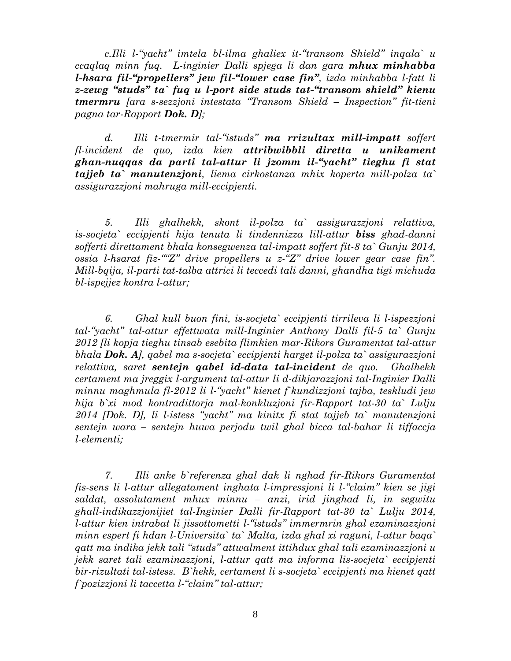*c.Illi l-"yacht" imtela bl-ilma ghaliex it-"transom Shield" inqala` u ccaqlaq minn fuq. L-inginier Dalli spjega li dan gara mhux minhabba l-hsara fil-"propellers" jew fil-"lower case fin", izda minhabba l-fatt li z-zewg "studs" ta` fuq u l-port side studs tat-"transom shield" kienu tmermru [ara s-sezzjoni intestata "Transom Shield – Inspection" fit-tieni pagna tar-Rapport Dok. D];*

*d. Illi t-tmermir tal-"istuds" ma rrizultax mill-impatt soffert fl-incident de quo, izda kien attribwibbli diretta u unikament ghan-nuqqas da parti tal-attur li jzomm il-"yacht" tieghu fi stat tajjeb ta` manutenzjoni, liema cirkostanza mhix koperta mill-polza ta` assigurazzjoni mahruga mill-eccipjenti.* 

*5. Illi ghalhekk, skont il-polza ta` assigurazzjoni relattiva, is-socjeta` eccipjenti hija tenuta li tindennizza lill-attur biss ghad-danni sofferti direttament bhala konsegwenza tal-impatt soffert fit-8 ta` Gunju 2014, ossia l-hsarat fiz-""Z" drive propellers u z-"Z" drive lower gear case fin". Mill-bqija, il-parti tat-talba attrici li teccedi tali danni, ghandha tigi michuda bl-ispejjez kontra l-attur;* 

*6. Ghal kull buon fini, is-socjeta` eccipjenti tirrileva li l-ispezzjoni tal-"yacht" tal-attur effettwata mill-Inginier Anthony Dalli fil-5 ta` Gunju 2012 [li kopja tieghu tinsab esebita flimkien mar-Rikors Guramentat tal-attur bhala Dok. A], qabel ma s-socjeta` eccipjenti harget il-polza ta` assigurazzjoni relattiva, saret sentejn qabel id-data tal-incident de quo. Ghalhekk certament ma jreggix l-argument tal-attur li d-dikjarazzjoni tal-Inginier Dalli minnu maghmula fl-2012 li l-"yacht" kienet f`kundizzjoni tajba, teskludi jew hija b`xi mod kontradittorja mal-konkluzjoni fir-Rapport tat-30 ta` Lulju 2014 [Dok. D], li l-istess "yacht" ma kinitx fi stat tajjeb ta` manutenzjoni sentejn wara – sentejn huwa perjodu twil ghal bicca tal-bahar li tiffaccja l-elementi;* 

*7. Illi anke b`referenza ghal dak li nghad fir-Rikors Guramentat fis-sens li l-attur allegatament inghata l-impressjoni li l-"claim" kien se jigi saldat, assolutament mhux minnu – anzi, irid jinghad li, in segwitu ghall-indikazzjonijiet tal-Inginier Dalli fir-Rapport tat-30 ta` Lulju 2014, l-attur kien intrabat li jissottometti l-"istuds" immermrin ghal ezaminazzjoni minn espert fi hdan l-Universita` ta` Malta, izda ghal xi raguni, l-attur baqa` qatt ma indika jekk tali "studs" attwalment ittihdux ghal tali ezaminazzjoni u jekk saret tali ezaminazzjoni, l-attur qatt ma informa lis-socjeta` eccipjenti bir-rizultati tal-istess. B`hekk, certament li s-socjeta` eccipjenti ma kienet qatt f`pozizzjoni li taccetta l-"claim" tal-attur;*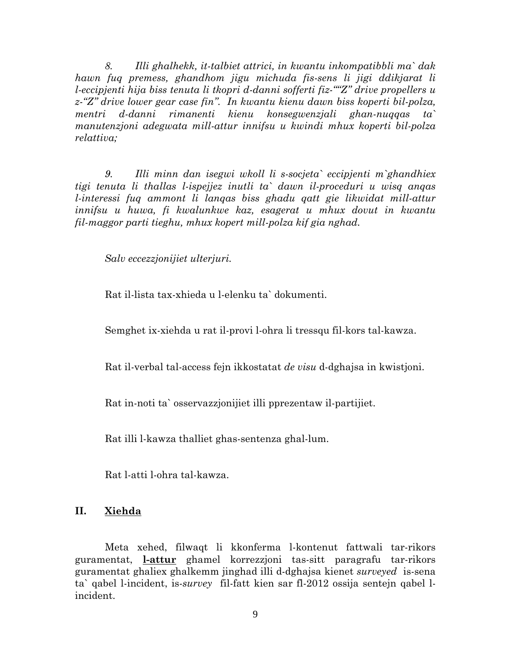*8. Illi ghalhekk, it-talbiet attrici, in kwantu inkompatibbli ma` dak hawn fuq premess, ghandhom jigu michuda fis-sens li jigi ddikjarat li l-eccipjenti hija biss tenuta li tkopri d-danni sofferti fiz-""Z" drive propellers u z-"Z" drive lower gear case fin". In kwantu kienu dawn biss koperti bil-polza, mentri d-danni rimanenti kienu konsegwenzjali ghan-nuqqas ta` manutenzjoni adegwata mill-attur innifsu u kwindi mhux koperti bil-polza relattiva;* 

*9. Illi minn dan isegwi wkoll li s-socjeta` eccipjenti m`ghandhiex tigi tenuta li thallas l-ispejjez inutli ta` dawn il-proceduri u wisq anqas l-interessi fuq ammont li lanqas biss ghadu qatt gie likwidat mill-attur innifsu u huwa, fi kwalunkwe kaz, esagerat u mhux dovut in kwantu fil-maggor parti tieghu, mhux kopert mill-polza kif gia nghad.* 

*Salv eccezzjonijiet ulterjuri.* 

Rat il-lista tax-xhieda u l-elenku ta` dokumenti.

Semghet ix-xiehda u rat il-provi l-ohra li tressqu fil-kors tal-kawza.

Rat il-verbal tal-access fejn ikkostatat *de visu* d-dghajsa in kwistjoni.

Rat in-noti ta` osservazzjonijiet illi pprezentaw il-partijiet.

Rat illi l-kawza thalliet ghas-sentenza ghal-lum.

Rat l-atti l-ohra tal-kawza.

## **II. Xiehda**

Meta xehed, filwaqt li kkonferma l-kontenut fattwali tar-rikors guramentat, **l-attur** ghamel korrezzjoni tas-sitt paragrafu tar-rikors guramentat ghaliex ghalkemm jinghad illi d-dghajsa kienet *surveyed* is-sena ta` qabel l-incident, is-*survey* fil-fatt kien sar fl-2012 ossija sentejn qabel lincident.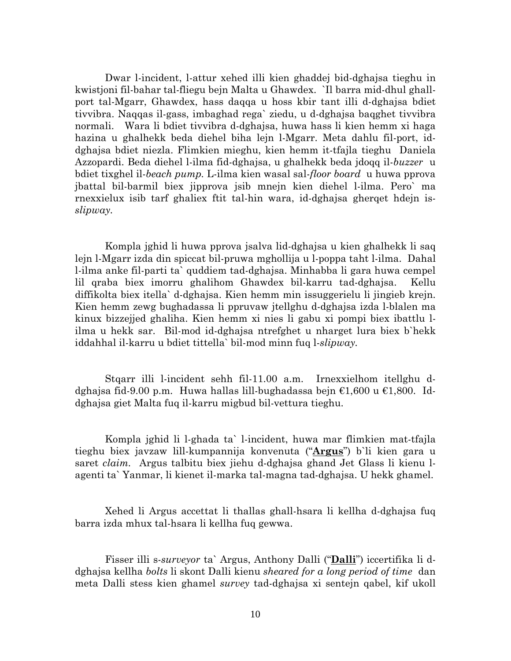Dwar l-incident, l-attur xehed illi kien ghaddej bid-dghajsa tieghu in kwistjoni fil-bahar tal-fliegu bejn Malta u Ghawdex. `Il barra mid-dhul ghallport tal-Mgarr, Ghawdex, hass daqqa u hoss kbir tant illi d-dghajsa bdiet tivvibra. Naqqas il-gass, imbaghad rega` ziedu, u d-dghajsa baqghet tivvibra normali. Wara li bdiet tivvibra d-dghajsa, huwa hass li kien hemm xi haga hazina u ghalhekk beda diehel biha lejn l-Mgarr. Meta dahlu fil-port, iddghajsa bdiet niezla. Flimkien mieghu, kien hemm it-tfajla tieghu Daniela Azzopardi. Beda diehel l-ilma fid-dghajsa, u ghalhekk beda jdoqq il-*buzzer* u bdiet tixghel il-*beach pump.* L-ilma kien wasal sal-*floor board* u huwa pprova jbattal bil-barmil biex jipprova jsib mnejn kien diehel l-ilma. Pero` ma rnexxielux isib tarf ghaliex ftit tal-hin wara, id-dghajsa gherqet hdejn is*slipway.*

Kompla jghid li huwa pprova jsalva lid-dghajsa u kien ghalhekk li saq lejn l-Mgarr izda din spiccat bil-pruwa mghollija u l-poppa taht l-ilma. Dahal l-ilma anke fil-parti ta` quddiem tad-dghajsa. Minhabba li gara huwa cempel lil qraba biex imorru ghalihom Ghawdex bil-karru tad-dghajsa. Kellu diffikolta biex itella` d-dghajsa. Kien hemm min issuggerielu li jingieb krejn. Kien hemm zewg bughadassa li ppruvaw jtellghu d-dghajsa izda l-blalen ma kinux bizzejjed ghaliha. Kien hemm xi nies li gabu xi pompi biex ibattlu lilma u hekk sar. Bil-mod id-dghajsa ntrefghet u nharget lura biex b`hekk iddahhal il-karru u bdiet tittella` bil-mod minn fuq l-*slipway.*

Stqarr illi l-incident sehh fil-11.00 a.m. Irnexxielhom itellghu ddghajsa fid-9.00 p.m. Huwa hallas lill-bughadassa bejn  $\epsilon$ 1,600 u  $\epsilon$ 1,800. Iddghajsa giet Malta fuq il-karru migbud bil-vettura tieghu.

Kompla jghid li l-ghada ta` l-incident, huwa mar flimkien mat-tfajla tieghu biex javzaw lill-kumpannija konvenuta ("**Argus**") b`li kien gara u saret *claim.* Argus talbitu biex jiehu d-dghajsa ghand Jet Glass li kienu lagenti ta` Yanmar, li kienet il-marka tal-magna tad-dghajsa. U hekk ghamel.

Xehed li Argus accettat li thallas ghall-hsara li kellha d-dghajsa fuq barra izda mhux tal-hsara li kellha fuq gewwa.

Fisser illi s-*surveyor* ta` Argus, Anthony Dalli ("**Dalli**") iccertifika li ddghajsa kellha *bolts* li skont Dalli kienu *sheared for a long period of time* dan meta Dalli stess kien ghamel *survey* tad-dghajsa xi sentejn qabel, kif ukoll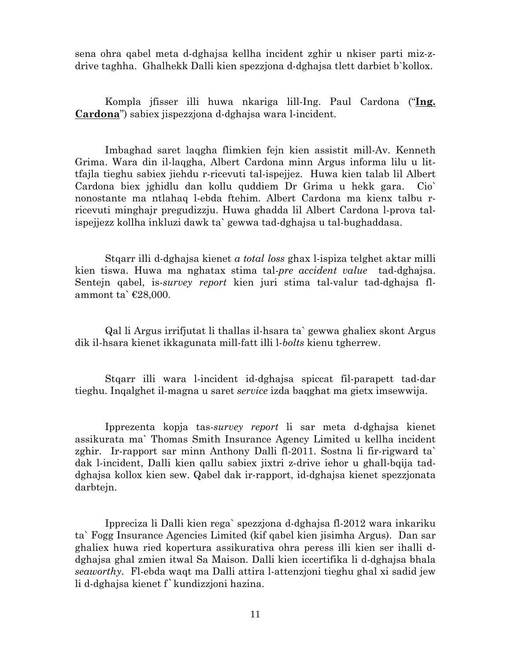sena ohra qabel meta d-dghajsa kellha incident zghir u nkiser parti miz-zdrive taghha. Ghalhekk Dalli kien spezzjona d-dghajsa tlett darbiet b`kollox.

Kompla jfisser illi huwa nkariga lill-Ing. Paul Cardona ("**Ing. Cardona**") sabiex jispezzjona d-dghajsa wara l-incident.

Imbaghad saret laqgha flimkien fejn kien assistit mill-Av. Kenneth Grima. Wara din il-laqgha, Albert Cardona minn Argus informa lilu u littfajla tieghu sabiex jiehdu r-ricevuti tal-ispejjez. Huwa kien talab lil Albert Cardona biex jghidlu dan kollu quddiem Dr Grima u hekk gara. Cio` nonostante ma ntlahaq l-ebda ftehim. Albert Cardona ma kienx talbu rricevuti minghajr pregudizzju. Huwa ghadda lil Albert Cardona l-prova talispejjezz kollha inkluzi dawk ta` gewwa tad-dghajsa u tal-bughaddasa.

Stqarr illi d-dghajsa kienet *a total loss* ghax l-ispiza telghet aktar milli kien tiswa. Huwa ma nghatax stima tal-*pre accident value* tad-dghajsa. Sentejn qabel, is-*survey report* kien juri stima tal-valur tad-dghajsa flammont ta` $\text{\textsterling}28,000$ .

Qal li Argus irrifjutat li thallas il-hsara ta` gewwa ghaliex skont Argus dik il-hsara kienet ikkagunata mill-fatt illi l-*bolts* kienu tgherrew.

Stqarr illi wara l-incident id-dghajsa spiccat fil-parapett tad-dar tieghu. Inqalghet il-magna u saret *service* izda baqghat ma gietx imsewwija.

Ipprezenta kopja tas-*survey report* li sar meta d-dghajsa kienet assikurata ma` Thomas Smith Insurance Agency Limited u kellha incident zghir. Ir-rapport sar minn Anthony Dalli fl-2011. Sostna li fir-rigward ta` dak l-incident, Dalli kien qallu sabiex jixtri z-drive iehor u ghall-bqija taddghajsa kollox kien sew. Qabel dak ir-rapport, id-dghajsa kienet spezzjonata darbtejn.

Ippreciza li Dalli kien rega` spezzjona d-dghajsa fl-2012 wara inkariku ta` Fogg Insurance Agencies Limited (kif qabel kien jisimha Argus). Dan sar ghaliex huwa ried kopertura assikurativa ohra peress illi kien ser ihalli ddghajsa ghal zmien itwal Sa Maison. Dalli kien iccertifika li d-dghajsa bhala *seaworthy*. Fl-ebda waqt ma Dalli attira l-attenzjoni tieghu ghal xi sadid jew li d-dghajsa kienet f`kundizzjoni hazina.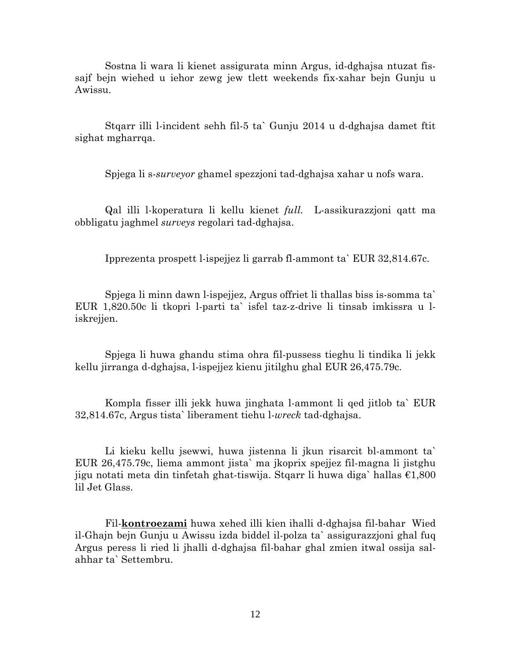Sostna li wara li kienet assigurata minn Argus, id-dghajsa ntuzat fissajf bejn wiehed u iehor zewg jew tlett weekends fix-xahar bejn Gunju u Awissu.

Stqarr illi l-incident sehh fil-5 ta` Gunju 2014 u d-dghajsa damet ftit sighat mgharrqa.

Spjega li s-*surveyor* ghamel spezzjoni tad-dghajsa xahar u nofs wara.

Qal illi l-koperatura li kellu kienet *full.* L-assikurazzjoni qatt ma obbligatu jaghmel *surveys* regolari tad-dghajsa.

Ipprezenta prospett l-ispejjez li garrab fl-ammont ta` EUR 32,814.67c.

Spjega li minn dawn l-ispejjez, Argus offriet li thallas biss is-somma ta` EUR 1,820.50c li tkopri l-parti ta` isfel taz-z-drive li tinsab imkissra u liskrejjen.

Spjega li huwa ghandu stima ohra fil-pussess tieghu li tindika li jekk kellu jirranga d-dghajsa, l-ispejjez kienu jitilghu ghal EUR 26,475.79c.

Kompla fisser illi jekk huwa jinghata l-ammont li qed jitlob ta` EUR 32,814.67c, Argus tista` liberament tiehu l-*wreck* tad-dghajsa.

Li kieku kellu jsewwi, huwa jistenna li jkun risarcit bl-ammont ta` EUR 26,475.79c, liema ammont jista` ma jkoprix spejjez fil-magna li jistghu jigu notati meta din tinfetah ghat-tiswija. Stqarr li huwa diga` hallas €1,800 lil Jet Glass.

Fil-**kontroezami** huwa xehed illi kien ihalli d-dghajsa fil-bahar Wied il-Ghajn bejn Gunju u Awissu izda biddel il-polza ta` assigurazzjoni ghal fuq Argus peress li ried li jhalli d-dghajsa fil-bahar ghal zmien itwal ossija salahhar ta` Settembru.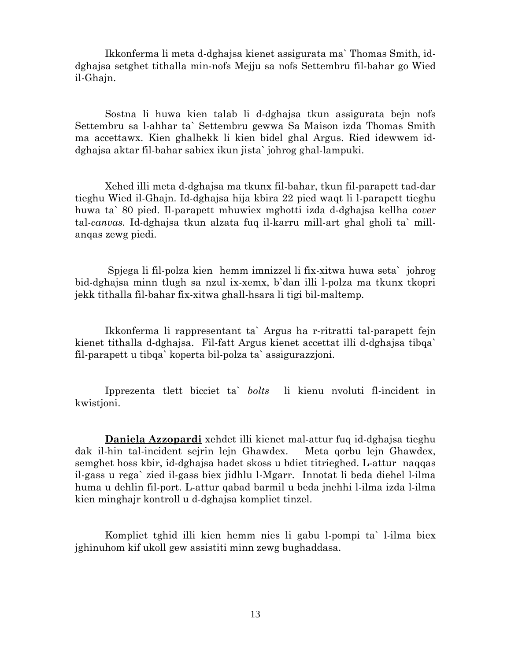Ikkonferma li meta d-dghajsa kienet assigurata ma` Thomas Smith, iddghajsa setghet tithalla min-nofs Mejju sa nofs Settembru fil-bahar go Wied il-Ghajn.

Sostna li huwa kien talab li d-dghajsa tkun assigurata bejn nofs Settembru sa l-ahhar ta` Settembru gewwa Sa Maison izda Thomas Smith ma accettawx. Kien ghalhekk li kien bidel ghal Argus. Ried idewwem iddghajsa aktar fil-bahar sabiex ikun jista` johrog ghal-lampuki.

Xehed illi meta d-dghajsa ma tkunx fil-bahar, tkun fil-parapett tad-dar tieghu Wied il-Ghajn. Id-dghajsa hija kbira 22 pied waqt li l-parapett tieghu huwa ta` 80 pied. Il-parapett mhuwiex mghotti izda d-dghajsa kellha *cover* tal-*canvas.* Id-dghajsa tkun alzata fuq il-karru mill-art ghal gholi ta` millanqas zewg piedi.

 Spjega li fil-polza kien hemm imnizzel li fix-xitwa huwa seta` johrog bid-dghajsa minn tlugh sa nzul ix-xemx, b`dan illi l-polza ma tkunx tkopri jekk tithalla fil-bahar fix-xitwa ghall-hsara li tigi bil-maltemp.

Ikkonferma li rappresentant ta` Argus ha r-ritratti tal-parapett fejn kienet tithalla d-dghajsa. Fil-fatt Argus kienet accettat illi d-dghajsa tibqa` fil-parapett u tibqa` koperta bil-polza ta` assigurazzjoni.

Ipprezenta tlett bicciet ta` *bolts* li kienu nvoluti fl-incident in kwistjoni.

**Daniela Azzopardi** xehdet illi kienet mal-attur fuq id-dghajsa tieghu dak il-hin tal-incident sejrin lejn Ghawdex. Meta qorbu lejn Ghawdex, semghet hoss kbir, id-dghajsa hadet skoss u bdiet titrieghed. L-attur naqqas il-gass u rega` zied il-gass biex jidhlu l-Mgarr. Innotat li beda diehel l-ilma huma u dehlin fil-port. L-attur qabad barmil u beda jnehhi l-ilma izda l-ilma kien minghajr kontroll u d-dghajsa kompliet tinzel.

Kompliet tghid illi kien hemm nies li gabu l-pompi ta` l-ilma biex jghinuhom kif ukoll gew assistiti minn zewg bughaddasa.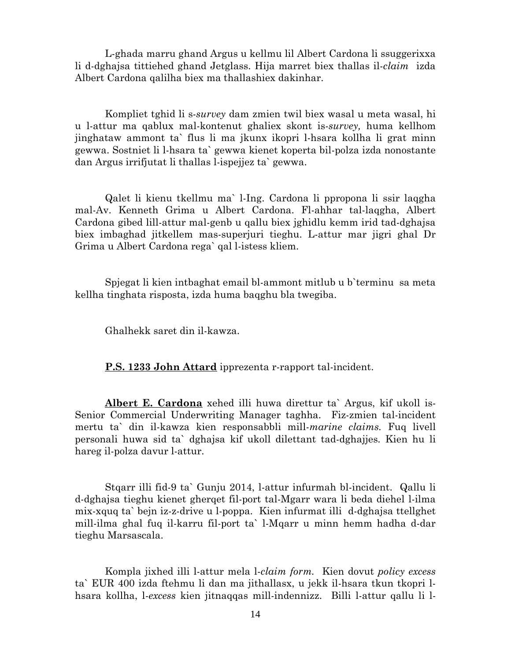L-ghada marru ghand Argus u kellmu lil Albert Cardona li ssuggerixxa li d-dghajsa tittiehed ghand Jetglass. Hija marret biex thallas il-*claim* izda Albert Cardona qalilha biex ma thallashiex dakinhar.

Kompliet tghid li s-*survey* dam zmien twil biex wasal u meta wasal, hi u l-attur ma qablux mal-kontenut ghaliex skont is-*survey,* huma kellhom jinghataw ammont ta` flus li ma jkunx ikopri l-hsara kollha li grat minn gewwa. Sostniet li l-hsara ta` gewwa kienet koperta bil-polza izda nonostante dan Argus irrifjutat li thallas l-ispejjez ta` gewwa.

Qalet li kienu tkellmu ma` l-Ing. Cardona li ppropona li ssir laqgha mal-Av. Kenneth Grima u Albert Cardona. Fl-ahhar tal-laqgha, Albert Cardona gibed lill-attur mal-genb u qallu biex jghidlu kemm irid tad-dghajsa biex imbaghad jitkellem mas-superjuri tieghu. L-attur mar jigri ghal Dr Grima u Albert Cardona rega` qal l-istess kliem.

Spjegat li kien intbaghat email bl-ammont mitlub u b`terminu sa meta kellha tinghata risposta, izda huma baqghu bla twegiba.

Ghalhekk saret din il-kawza.

 **P.S. 1233 John Attard** ipprezenta r-rapport tal-incident.

 **Albert E. Cardona** xehed illi huwa direttur ta` Argus, kif ukoll is-Senior Commercial Underwriting Manager taghha. Fiz-zmien tal-incident mertu ta` din il-kawza kien responsabbli mill-*marine claims.* Fuq livell personali huwa sid ta` dghajsa kif ukoll dilettant tad-dghajjes. Kien hu li hareg il-polza davur l-attur.

Stqarr illi fid-9 ta` Gunju 2014, l-attur infurmah bl-incident. Qallu li d-dghajsa tieghu kienet gherqet fil-port tal-Mgarr wara li beda diehel l-ilma mix-xquq ta` bejn iz-z-drive u l-poppa. Kien infurmat illi d-dghajsa ttellghet mill-ilma ghal fuq il-karru fil-port ta` l-Mqarr u minn hemm hadha d-dar tieghu Marsascala.

Kompla jixhed illi l-attur mela l-*claim form.* Kien dovut *policy excess*  ta` EUR 400 izda ftehmu li dan ma jithallasx, u jekk il-hsara tkun tkopri lhsara kollha, l-*excess* kien jitnaqqas mill-indennizz. Billi l-attur qallu li l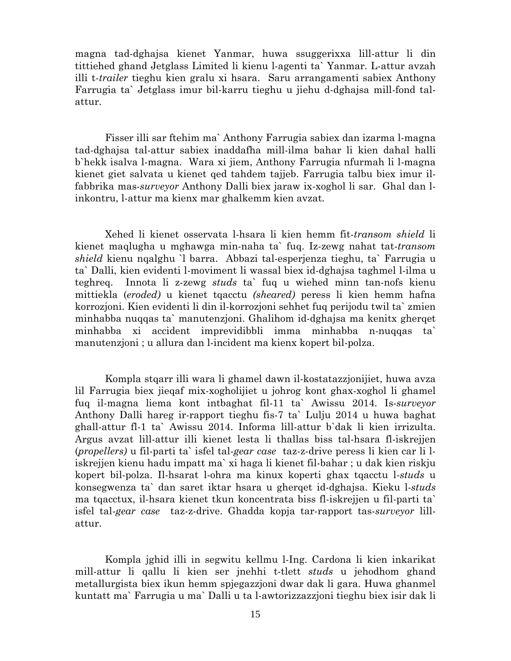magna tad-dghajsa kienet Yanmar, huwa ssuggerixxa lill-attur li din tittiehed ghand Jetglass Limited li kienu l-agenti ta` Yanmar. L-attur avzah illi t-*trailer* tieghu kien gralu xi hsara. Saru arrangamenti sabiex Anthony Farrugia ta` Jetglass imur bil-karru tieghu u jiehu d-dghajsa mill-fond talattur.

 Fisser illi sar ftehim ma` Anthony Farrugia sabiex dan izarma l-magna tad-dghajsa tal-attur sabiex inaddafha mill-ilma bahar li kien dahal halli b`hekk isalva l-magna. Wara xi jiem, Anthony Farrugia nfurmah li l-magna kienet giet salvata u kienet qed tahdem tajjeb. Farrugia talbu biex imur ilfabbrika mas-*surveyor* Anthony Dalli biex jaraw ix-xoghol li sar. Ghal dan linkontru, l-attur ma kienx mar ghalkemm kien avzat.

 Xehed li kienet osservata l-hsara li kien hemm fit-*transom shield* li kienet maqlugha u mghawga min-naha ta` fuq. Iz-zewg nahat tat-*transom shield* kienu nqalghu `l barra. Abbazi tal-esperjenza tieghu, ta` Farrugia u ta` Dalli, kien evidenti l-moviment li wassal biex id-dghajsa taghmel l-ilma u teghreq. Innota li z-zewg *studs* ta` fuq u wiehed minn tan-nofs kienu mittiekla (*eroded)* u kienet tqacctu *(sheared)* peress li kien hemm hafna korrozjoni. Kien evidenti li din il-korrozjoni sehhet fuq perijodu twil ta` zmien minhabba nuqqas ta` manutenzjoni. Ghalihom id-dghajsa ma kenitx gherqet minhabba xi accident imprevidibbli imma minhabba n-nuqqas ta` manutenzjoni ; u allura dan l-incident ma kienx kopert bil-polza.

 Kompla stqarr illi wara li ghamel dawn il-kostatazzjonijiet, huwa avza lil Farrugia biex jieqaf mix-xogholijiet u johrog kont ghax-xoghol li ghamel fuq il-magna liema kont intbaghat fil-11 ta` Awissu 2014. Is-*surveyor*  Anthony Dalli hareg ir-rapport tieghu fis-7 ta` Lulju 2014 u huwa baghat ghall-attur fl-1 ta` Awissu 2014. Informa lill-attur b`dak li kien irrizulta. Argus avzat lill-attur illi kienet lesta li thallas biss tal-hsara fl-iskrejjen (*propellers)* u fil-parti ta` isfel tal-*gear case* taz-z-drive peress li kien car li liskrejjen kienu hadu impatt ma` xi haga li kienet fil-bahar ; u dak kien riskju kopert bil-polza. Il-hsarat l-ohra ma kinux koperti ghax tqacctu l-*studs* u konsegwenza ta` dan saret iktar hsara u gherqet id-dghajsa. Kieku l-*studs*  ma tqacctux, il-hsara kienet tkun koncentrata biss fl-iskrejjen u fil-parti ta` isfel tal-*gear case* taz-z-drive. Ghadda kopja tar-rapport tas-*surveyor* lillattur.

Kompla jghid illi in segwitu kellmu l-Ing. Cardona li kien inkarikat mill-attur li qallu li kien ser jnehhi t-tlett *studs* u jehodhom ghand metallurgista biex ikun hemm spjegazzjoni dwar dak li gara. Huwa ghanmel kuntatt ma` Farrugia u ma` Dalli u ta l-awtorizzazzjoni tieghu biex isir dak li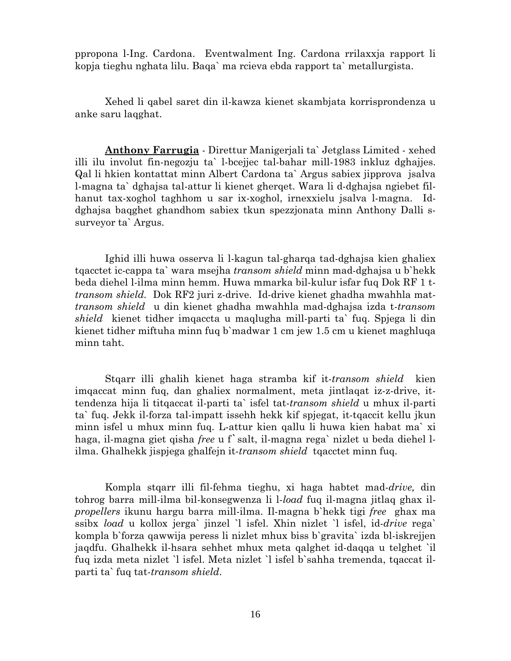ppropona l-Ing. Cardona. Eventwalment Ing. Cardona rrilaxxja rapport li kopja tieghu nghata lilu. Baqa` ma rcieva ebda rapport ta` metallurgista.

Xehed li qabel saret din il-kawza kienet skambjata korrisprondenza u anke saru laqghat.

**Anthony Farrugia** *-* Direttur Manigerjali ta` Jetglass Limited - xehed illi ilu involut fin-negozju ta` l-bcejjec tal-bahar mill-1983 inkluz dghajjes. Qal li hkien kontattat minn Albert Cardona ta` Argus sabiex jipprova jsalva l-magna ta` dghajsa tal-attur li kienet gherqet. Wara li d-dghajsa ngiebet filhanut tax-xoghol taghhom u sar ix-xoghol, irnexxielu jsalva l-magna. Iddghajsa baqghet ghandhom sabiex tkun spezzjonata minn Anthony Dalli ssurveyor ta` Argus.

 Ighid illi huwa osserva li l-kagun tal-gharqa tad-dghajsa kien ghaliex tqacctet ic-cappa ta` wara msejha *transom shield* minn mad-dghajsa u b`hekk beda diehel l-ilma minn hemm. Huwa mmarka bil-kulur isfar fuq Dok RF 1 t*transom shield.* Dok RF2 juri z-drive. Id-drive kienet ghadha mwahhla mat*transom shield* u din kienet ghadha mwahhla mad-dghajsa izda t-*transom shield* kienet tidher imqaccta u maqlugha mill-parti ta` fuq. Spjega li din kienet tidher miftuha minn fuq b`madwar 1 cm jew 1.5 cm u kienet maghluqa minn taht.

 Stqarr illi ghalih kienet haga stramba kif it-*transom shield* kien imqaccat minn fuq, dan ghaliex normalment, meta jintlaqat iz-z-drive, ittendenza hija li titqaccat il-parti ta` isfel tat-*transom shield* u mhux il-parti ta` fuq. Jekk il-forza tal-impatt issehh hekk kif spjegat, it-tqaccit kellu jkun minn isfel u mhux minn fuq. L-attur kien qallu li huwa kien habat ma` xi haga, il-magna giet qisha *free* u f`salt, il-magna rega` nizlet u beda diehel lilma. Ghalhekk jispjega ghalfejn it-*transom shield* tqacctet minn fuq.

Kompla stqarr illi fil-fehma tieghu, xi haga habtet mad-*drive,* din tohrog barra mill-ilma bil-konsegwenza li l-*load* fuq il-magna jitlaq ghax il*propellers* ikunu hargu barra mill-ilma. Il-magna b`hekk tigi *free* ghax ma ssibx *load* u kollox jerga` jinzel `l isfel. Xhin nizlet `l isfel, id-*drive* rega` kompla b`forza qawwija peress li nizlet mhux biss b`gravita` izda bl-iskrejjen jaqdfu. Ghalhekk il-hsara sehhet mhux meta qalghet id-daqqa u telghet `il fuq izda meta nizlet `l isfel. Meta nizlet `l isfel b`sahha tremenda, tqaccat ilparti ta` fuq tat-*transom shield*.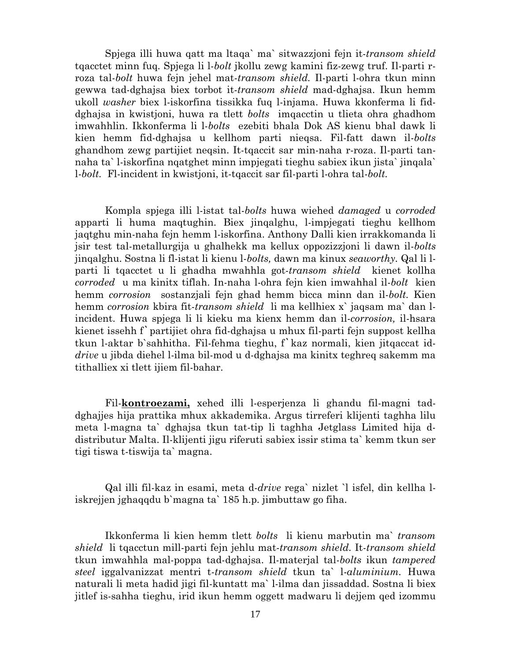Spjega illi huwa qatt ma ltaqa` ma` sitwazzjoni fejn it-*transom shield*  tqacctet minn fuq. Spjega li l-*bolt* jkollu zewg kamini fiz-zewg truf. Il-parti rroza tal-*bolt* huwa fejn jehel mat-*transom shield.* Il-parti l-ohra tkun minn gewwa tad-dghajsa biex torbot it-*transom shield* mad-dghajsa. Ikun hemm ukoll *washer* biex l-iskorfina tissikka fuq l-injama. Huwa kkonferma li fiddghajsa in kwistjoni, huwa ra tlett *bolts* imqacctin u tlieta ohra ghadhom imwahhlin. Ikkonferma li l-*bolts* ezebiti bhala Dok AS kienu bhal dawk li kien hemm fid-dghajsa u kellhom parti nieqsa. Fil-fatt dawn il-*bolts*  ghandhom zewg partijiet neqsin. It-tqaccit sar min-naha r-roza. Il-parti tannaha ta` l-iskorfina nqatghet minn impjegati tieghu sabiex ikun jista` jinqala` l-*bolt.* Fl-incident in kwistjoni, it-tqaccit sar fil-parti l-ohra tal-*bolt.* 

Kompla spjega illi l-istat tal-*bolts* huwa wiehed *damaged* u *corroded*  apparti li huma maqtughin. Biex jinqalghu, l-impjegati tieghu kellhom jaqtghu min-naha fejn hemm l-iskorfina. Anthony Dalli kien irrakkomanda li jsir test tal-metallurgija u ghalhekk ma kellux oppozizzjoni li dawn il-*bolts*  jinqalghu. Sostna li fl-istat li kienu l-*bolts,* dawn ma kinux *seaworthy.* Qal li lparti li tqacctet u li ghadha mwahhla got-*transom shield* kienet kollha *corroded* u ma kinitx tiflah. In-naha l-ohra fejn kien imwahhal il-*bolt* kien hemm *corrosion* sostanzjali fejn ghad hemm bicca minn dan il-*bolt.* Kien hemm *corrosion* kbira fit-*transom shield* li ma kellhiex x` jaqsam ma` dan lincident. Huwa spjega li li kieku ma kienx hemm dan il-*corrosion,* il-hsara kienet issehh f`partijiet ohra fid-dghajsa u mhux fil-parti fejn suppost kellha tkun l-aktar b`sahhitha. Fil-fehma tieghu, f`kaz normali, kien jitqaccat id*drive* u jibda diehel l-ilma bil-mod u d-dghajsa ma kinitx teghreq sakemm ma tithalliex xi tlett ijiem fil-bahar.

Fil-**kontroezami,** xehed illi l-esperjenza li ghandu fil-magni taddghajjes hija prattika mhux akkademika. Argus tirreferi klijenti taghha lilu meta l-magna ta` dghajsa tkun tat-tip li taghha Jetglass Limited hija ddistributur Malta. Il-klijenti jigu riferuti sabiex issir stima ta` kemm tkun ser tigi tiswa t-tiswija ta` magna.

Qal illi fil-kaz in esami, meta d-*drive* rega` nizlet `l isfel, din kellha liskrejjen jghaqqdu b`magna ta` 185 h.p. jimbuttaw go fiha.

 Ikkonferma li kien hemm tlett *bolts* li kienu marbutin ma` *transom shield* li tqacctun mill-parti fejn jehlu mat-*transom shield.* It-*transom shield*  tkun imwahhla mal-poppa tad-dghajsa. Il-materjal tal-*bolts* ikun *tampered steel* iggalvanizzat mentri t-*transom shield* tkun ta` l-*aluminium.* Huwa naturali li meta hadid jigi fil-kuntatt ma` l-ilma dan jissaddad. Sostna li biex jitlef is-sahha tieghu, irid ikun hemm oggett madwaru li dejjem qed izommu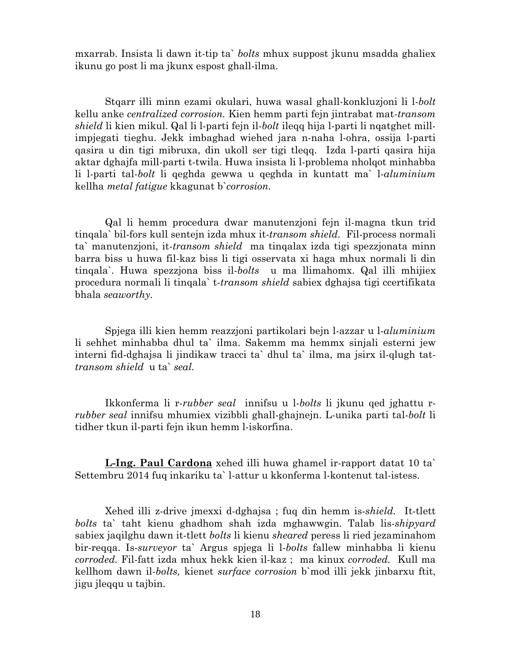mxarrab. Insista li dawn it-tip ta` *bolts* mhux suppost jkunu msadda ghaliex ikunu go post li ma jkunx espost ghall-ilma.

 Stqarr illi minn ezami okulari, huwa wasal ghall-konkluzjoni li l-*bolt* kellu anke *centralized corrosion.* Kien hemm parti fejn jintrabat mat-*transom shield* li kien mikul. Qal li l-parti fejn il-*bolt* ileqq hija l-parti li nqatghet millimpjegati tieghu. Jekk imbaghad wiehed jara n-naha l-ohra, ossija l-parti qasira u din tigi mibruxa, din ukoll ser tigi tleqq. Izda l-parti qasira hija aktar dghajfa mill-parti t-twila. Huwa insista li l-problema nholqot minhabba li l-parti tal-*bolt* li qeghda gewwa u qeghda in kuntatt ma` l-*aluminium* kellha *metal fatigue* kkagunat b`*corrosion.* 

 Qal li hemm procedura dwar manutenzjoni fejn il-magna tkun trid tinqala` bil-fors kull sentejn izda mhux it-*transom shield.* Fil-process normali ta` manutenzjoni, it-*transom shield* ma tinqalax izda tigi spezzjonata minn barra biss u huwa fil-kaz biss li tigi osservata xi haga mhux normali li din tinqala`. Huwa spezzjona biss il-*bolts* u ma llimahomx. Qal illi mhijiex procedura normali li tinqala` t-*transom shield* sabiex dghajsa tigi ccertifikata bhala *seaworthy.* 

Spjega illi kien hemm reazzjoni partikolari bejn l-azzar u l-*aluminium*  li sehhet minhabba dhul ta` ilma. Sakemm ma hemmx sinjali esterni jew interni fid-dghajsa li jindikaw tracci ta` dhul ta` ilma, ma jsirx il-qlugh tat*transom shield* u ta` *seal.* 

 Ikkonferma li r-*rubber seal* innifsu u l-*bolts* li jkunu qed jghattu r*rubber seal* innifsu mhumiex vizibbli ghall-ghajnejn. L-unika parti tal-*bolt* li tidher tkun il-parti fejn ikun hemm l-iskorfina.

**L-Ing. Paul Cardona** xehed illi huwa ghamel ir-rapport datat 10 ta` Settembru 2014 fuq inkariku ta` l-attur u kkonferma l-kontenut tal-istess.

Xehed illi z-drive jmexxi d-dghajsa ; fuq din hemm is-*shield.* It-tlett *bolts* ta` taht kienu ghadhom shah izda mghawwgin. Talab lis-*shipyard*  sabiex jaqilghu dawn it-tlett *bolts* li kienu *sheared* peress li ried jezaminahom bir-reqqa. Is-*surveyor* ta` Argus spjega li l-*bolts* fallew minhabba li kienu *corroded.* Fil-fatt izda mhux hekk kien il-kaz ; ma kinux *corroded.* Kull ma kellhom dawn il-*bolts,* kienet *surface corrosion* b`mod illi jekk jinbarxu ftit, jigu jleqqu u tajbin.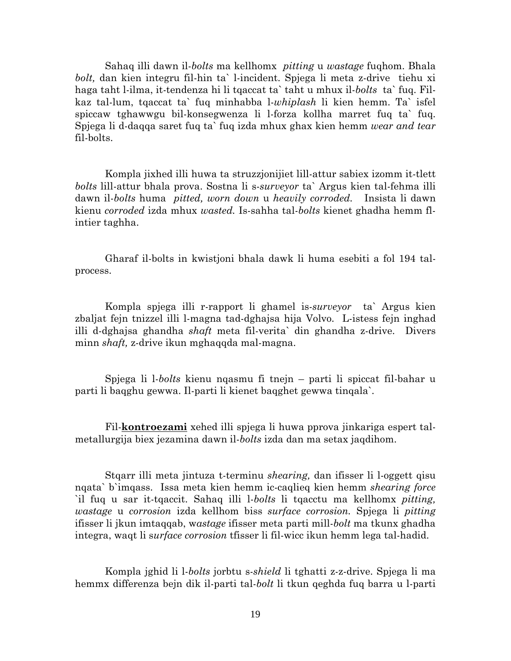Sahaq illi dawn il-*bolts* ma kellhomx *pitting* u *wastage* fuqhom. Bhala *bolt,* dan kien integru fil-hin ta` l-incident. Spjega li meta z-drive tiehu xi haga taht l-ilma, it-tendenza hi li tqaccat ta` taht u mhux il-*bolts* ta` fuq. Filkaz tal-lum, tqaccat ta` fuq minhabba l-*whiplash* li kien hemm. Ta` isfel spiccaw tghawwgu bil-konsegwenza li l-forza kollha marret fuq ta` fuq. Spjega li d-daqqa saret fuq ta` fuq izda mhux ghax kien hemm *wear and tear*  fil-bolts.

 Kompla jixhed illi huwa ta struzzjonijiet lill-attur sabiex izomm it-tlett *bolts* lill-attur bhala prova. Sostna li s-*surveyor* ta` Argus kien tal-fehma illi dawn il-*bolts* huma *pitted, worn down* u *heavily corroded.* Insista li dawn kienu *corroded* izda mhux *wasted.* Is-sahha tal-*bolts* kienet ghadha hemm flintier taghha.

 Gharaf il-bolts in kwistjoni bhala dawk li huma esebiti a fol 194 talprocess.

 Kompla spjega illi r-rapport li ghamel is-*surveyor* ta` Argus kien zbaljat fejn tnizzel illi l-magna tad-dghajsa hija Volvo. L-istess fejn inghad illi d-dghajsa ghandha *shaft* meta fil-verita` din ghandha z-drive. Divers minn *shaft,* z-drive ikun mghaqqda mal-magna.

Spjega li l-*bolts* kienu nqasmu fi tnejn – parti li spiccat fil-bahar u parti li baqghu gewwa. Il-parti li kienet baqghet gewwa tinqala`.

 Fil-**kontroezami** xehed illi spjega li huwa pprova jinkariga espert talmetallurgija biex jezamina dawn il-*bolts* izda dan ma setax jaqdihom.

Stqarr illi meta jintuza t-terminu *shearing,* dan ifisser li l-oggett qisu nqata` b`imqass. Issa meta kien hemm ic-caqlieq kien hemm *shearing force*  `il fuq u sar it-tqaccit. Sahaq illi l-*bolts* li tqacctu ma kellhomx *pitting, wastage* u *corrosion* izda kellhom biss *surface corrosion.* Spjega li *pitting*  ifisser li jkun imtaqqab, w*astage* ifisser meta parti mill-*bolt* ma tkunx ghadha integra, waqt li s*urface corrosion* tfisser li fil-wicc ikun hemm lega tal-hadid.

Kompla jghid li l-*bolts* jorbtu s-*shield* li tghatti z-z-drive. Spjega li ma hemmx differenza bejn dik il-parti tal-*bolt* li tkun qeghda fuq barra u l-parti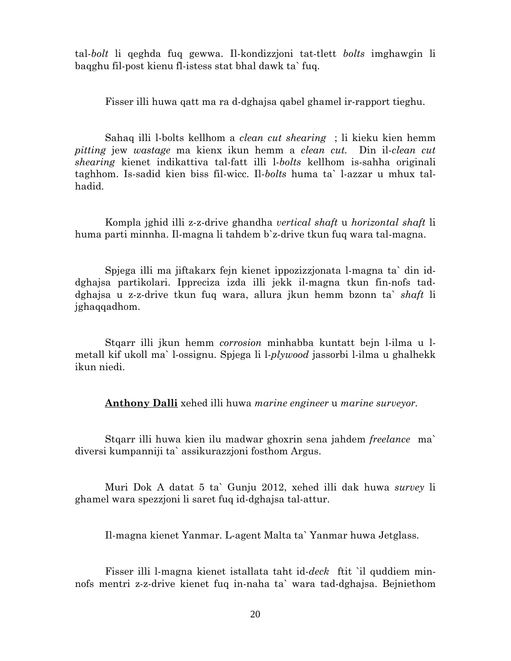tal-*bolt* li qeghda fuq gewwa. Il-kondizzjoni tat-tlett *bolts* imghawgin li baqghu fil-post kienu fl-istess stat bhal dawk ta` fuq.

Fisser illi huwa qatt ma ra d-dghajsa qabel ghamel ir-rapport tieghu.

 Sahaq illi l-bolts kellhom a *clean cut shearing* ; li kieku kien hemm *pitting* jew *wastage* ma kienx ikun hemm a *clean cut.* Din il-*clean cut shearing* kienet indikattiva tal-fatt illi l-*bolts* kellhom is-sahha originali taghhom. Is-sadid kien biss fil-wicc. Il-*bolts* huma ta` l-azzar u mhux talhadid.

 Kompla jghid illi z-z-drive ghandha *vertical shaft* u *horizontal shaft* li huma parti minnha. Il-magna li tahdem b`z-drive tkun fuq wara tal-magna.

Spjega illi ma jiftakarx fejn kienet ippozizzjonata l-magna ta` din iddghajsa partikolari. Ippreciza izda illi jekk il-magna tkun fin-nofs taddghajsa u z-z-drive tkun fuq wara, allura jkun hemm bzonn ta` *shaft* li jghaqqadhom.

 Stqarr illi jkun hemm *corrosion* minhabba kuntatt bejn l-ilma u lmetall kif ukoll ma` l-ossignu. Spjega li l-*plywood* jassorbi l-ilma u ghalhekk ikun niedi.

**Anthony Dalli** xehed illi huwa *marine engineer* u *marine surveyor.* 

Stqarr illi huwa kien ilu madwar ghoxrin sena jahdem *freelance* ma` diversi kumpanniji ta` assikurazzjoni fosthom Argus.

Muri Dok A datat 5 ta` Gunju 2012, xehed illi dak huwa *survey* li ghamel wara spezzjoni li saret fuq id-dghajsa tal-attur.

Il-magna kienet Yanmar. L-agent Malta ta` Yanmar huwa Jetglass.

Fisser illi l-magna kienet istallata taht id-*deck* ftit `il quddiem minnofs mentri z-z-drive kienet fuq in-naha ta` wara tad-dghajsa. Bejniethom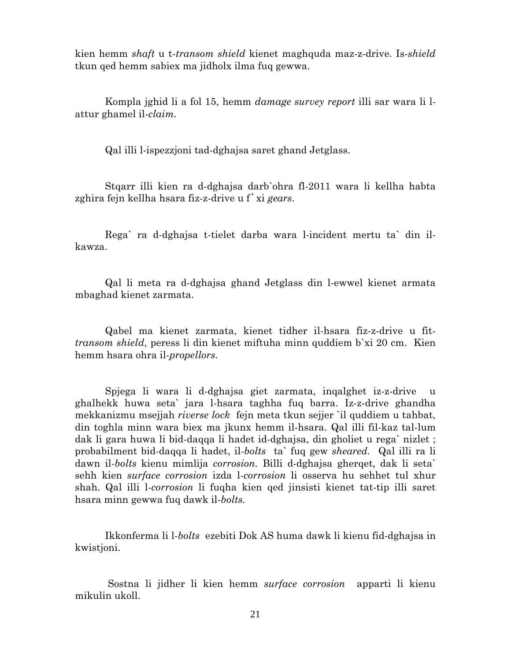kien hemm *shaft* u t-*transom shield* kienet maghquda maz-z-drive. Is-*shield*  tkun qed hemm sabiex ma jidholx ilma fuq gewwa.

 Kompla jghid li a fol 15, hemm *damage survey report* illi sar wara li lattur ghamel il-*claim.* 

Qal illi l-ispezzjoni tad-dghajsa saret ghand Jetglass.

Stqarr illi kien ra d-dghajsa darb`ohra fl-2011 wara li kellha habta zghira fejn kellha hsara fiz-z-drive u f`xi *gears*.

Rega` ra d-dghajsa t-tielet darba wara l-incident mertu ta` din ilkawza.

Qal li meta ra d-dghajsa ghand Jetglass din l-ewwel kienet armata mbaghad kienet zarmata.

Qabel ma kienet zarmata, kienet tidher il-hsara fiz-z-drive u fit*transom shield*, peress li din kienet miftuha minn quddiem b`xi 20 cm. Kien hemm hsara ohra il-*propellors*.

 Spjega li wara li d-dghajsa giet zarmata, inqalghet iz-z-drive u ghalhekk huwa seta` jara l-hsara taghha fuq barra. Iz-z-drive ghandha mekkanizmu msejjah *riverse lock* fejn meta tkun sejjer `il quddiem u tahbat, din toghla minn wara biex ma jkunx hemm il-hsara. Qal illi fil-kaz tal-lum dak li gara huwa li bid-daqqa li hadet id-dghajsa, din gholiet u rega` nizlet ; probabilment bid-daqqa li hadet, il-*bolts* ta` fuq gew *sheared.* Qal illi ra li dawn il-*bolts* kienu mimlija *corrosion.* Billi d-dghajsa gherqet, dak li seta` sehh kien *surface corrosion* izda l-*corrosion* li osserva hu sehhet tul xhur shah. Qal illi l-*corrosion* li fuqha kien qed jinsisti kienet tat-tip illi saret hsara minn gewwa fuq dawk il-*bolts.*

Ikkonferma li l-*bolts* ezebiti Dok AS huma dawk li kienu fid-dghajsa in kwistioni.

 Sostna li jidher li kien hemm *surface corrosion* apparti li kienu mikulin ukoll.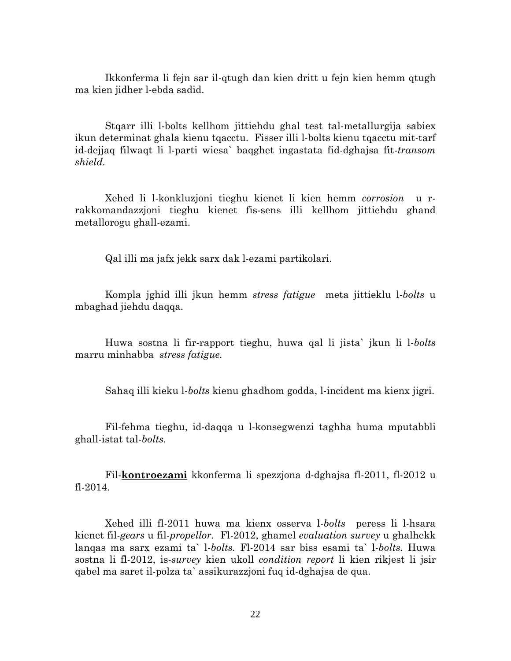Ikkonferma li fejn sar il-qtugh dan kien dritt u fejn kien hemm qtugh ma kien jidher l-ebda sadid.

Stqarr illi l-bolts kellhom jittiehdu ghal test tal-metallurgija sabiex ikun determinat ghala kienu tqacctu. Fisser illi l-bolts kienu tqacctu mit-tarf id-dejjaq filwaqt li l-parti wiesa` baqghet ingastata fid-dghajsa fit-*transom shield.* 

Xehed li l-konkluzjoni tieghu kienet li kien hemm *corrosion* u rrakkomandazzjoni tieghu kienet fis-sens illi kellhom jittiehdu ghand metallorogu ghall-ezami.

Qal illi ma jafx jekk sarx dak l-ezami partikolari.

Kompla jghid illi jkun hemm *stress fatigue* meta jittieklu l-*bolts* u mbaghad jiehdu daqqa.

Huwa sostna li fir-rapport tieghu, huwa qal li jista` jkun li l-*bolts*  marru minhabba *stress fatigue.*

Sahaq illi kieku l-*bolts* kienu ghadhom godda, l-incident ma kienx jigri.

Fil-fehma tieghu, id-daqqa u l-konsegwenzi taghha huma mputabbli ghall-istat tal-*bolts.* 

Fil-**kontroezami** kkonferma li spezzjona d-dghajsa fl-2011, fl-2012 u fl-2014.

Xehed illi fl-2011 huwa ma kienx osserva l-*bolts* peress li l-hsara kienet fil-*gears* u fil-*propellor.* Fl-2012, ghamel *evaluation survey* u ghalhekk lanqas ma sarx ezami ta` l-*bolts.* Fl-2014 sar biss esami ta` l-*bolts.* Huwa sostna li fl-2012, is-*survey* kien ukoll *condition report* li kien rikjest li jsir qabel ma saret il-polza ta` assikurazzjoni fuq id-dghajsa de qua.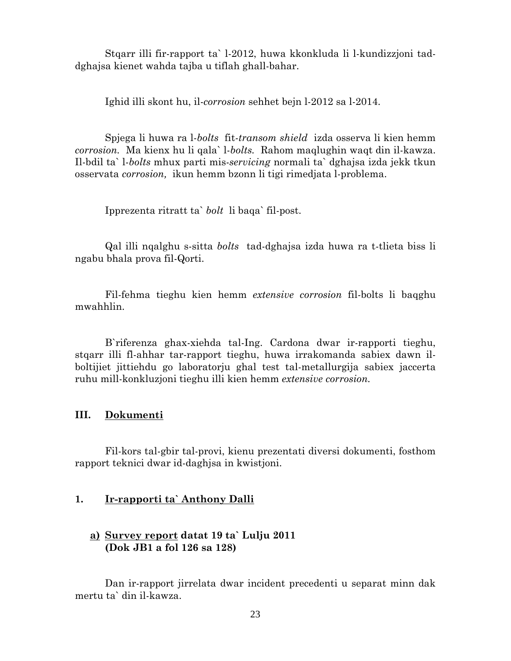Stqarr illi fir-rapport ta` l-2012, huwa kkonkluda li l-kundizzjoni taddghajsa kienet wahda tajba u tiflah ghall-bahar.

Ighid illi skont hu, il-*corrosion* sehhet bejn l-2012 sa l-2014.

Spjega li huwa ra l-*bolts* fit-*transom shield* izda osserva li kien hemm *corrosion.* Ma kienx hu li qala` l-*bolts.* Rahom maqlughin waqt din il-kawza. Il-bdil ta` l-*bolts* mhux parti mis-*servicing* normali ta` dghajsa izda jekk tkun osservata *corrosion,* ikun hemm bzonn li tigi rimedjata l-problema.

Ipprezenta ritratt ta` *bolt* li baqa` fil-post.

Qal illi nqalghu s-sitta *bolts* tad-dghajsa izda huwa ra t-tlieta biss li ngabu bhala prova fil-Qorti.

Fil-fehma tieghu kien hemm *extensive corrosion* fil-bolts li baqghu mwahhlin.

 B`riferenza ghax-xiehda tal-Ing. Cardona dwar ir-rapporti tieghu, stqarr illi fl-ahhar tar-rapport tieghu, huwa irrakomanda sabiex dawn ilboltijiet jittiehdu go laboratorju ghal test tal-metallurgija sabiex jaccerta ruhu mill-konkluzjoni tieghu illi kien hemm *extensive corrosion.* 

## **III. Dokumenti**

Fil-kors tal-gbir tal-provi, kienu prezentati diversi dokumenti, fosthom rapport teknici dwar id-daghjsa in kwistjoni.

#### **1. Ir-rapporti ta` Anthony Dalli**

## **a) Survey report datat 19 ta` Lulju 2011 (Dok JB1 a fol 126 sa 128)**

Dan ir-rapport jirrelata dwar incident precedenti u separat minn dak mertu ta` din il-kawza.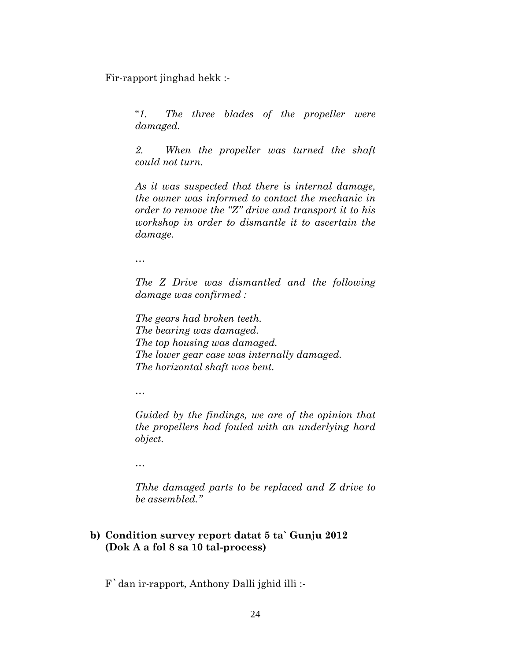Fir-rapport jinghad hekk :-

"*1. The three blades of the propeller were damaged.* 

*2. When the propeller was turned the shaft could not turn.* 

*As it was suspected that there is internal damage, the owner was informed to contact the mechanic in order to remove the "Z" drive and transport it to his workshop in order to dismantle it to ascertain the damage.* 

*…* 

*The Z Drive was dismantled and the following damage was confirmed :* 

*The gears had broken teeth. The bearing was damaged. The top housing was damaged. The lower gear case was internally damaged. The horizontal shaft was bent.* 

*…* 

*Guided by the findings, we are of the opinion that the propellers had fouled with an underlying hard object.* 

*…* 

*Thhe damaged parts to be replaced and Z drive to be assembled."* 

## **b) Condition survey report datat 5 ta` Gunju 2012 (Dok A a fol 8 sa 10 tal-process)**

F`dan ir-rapport, Anthony Dalli jghid illi :-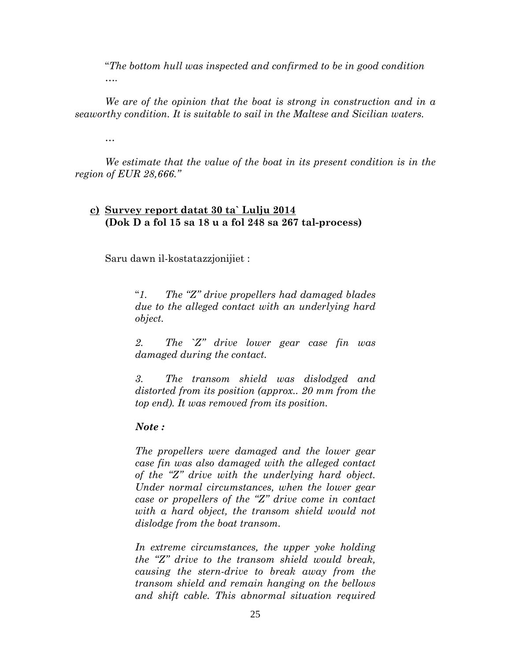"*The bottom hull was inspected and confirmed to be in good condition ….* 

*We are of the opinion that the boat is strong in construction and in a seaworthy condition. It is suitable to sail in the Maltese and Sicilian waters.* 

*…* 

*We estimate that the value of the boat in its present condition is in the region of EUR 28,666."*

## **c) Survey report datat 30 ta` Lulju 2014 (Dok D a fol 15 sa 18 u a fol 248 sa 267 tal-process)**

Saru dawn il-kostatazzjonijiet :

"*1. The "Z" drive propellers had damaged blades due to the alleged contact with an underlying hard object.* 

*2. The `Z" drive lower gear case fin was damaged during the contact.* 

*3. The transom shield was dislodged and distorted from its position (approx.. 20 mm from the top end). It was removed from its position.* 

## *Note :*

*The propellers were damaged and the lower gear case fin was also damaged with the alleged contact of the "Z" drive with the underlying hard object. Under normal circumstances, when the lower gear case or propellers of the "Z" drive come in contact with a hard object, the transom shield would not dislodge from the boat transom.* 

*In extreme circumstances, the upper yoke holding the "Z" drive to the transom shield would break, causing the stern-drive to break away from the transom shield and remain hanging on the bellows and shift cable. This abnormal situation required*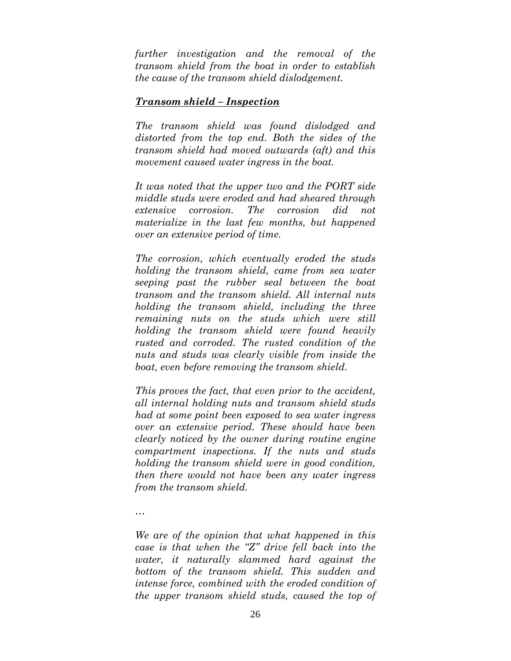*further investigation and the removal of the transom shield from the boat in order to establish the cause of the transom shield dislodgement.* 

### *Transom shield – Inspection*

*The transom shield was found dislodged and distorted from the top end. Both the sides of the transom shield had moved outwards (aft) and this movement caused water ingress in the boat.* 

*It was noted that the upper two and the PORT side middle studs were eroded and had sheared through extensive corrosion. The corrosion did not materialize in the last few months, but happened over an extensive period of time.* 

*The corrosion, which eventually eroded the studs holding the transom shield, came from sea water seeping past the rubber seal between the boat transom and the transom shield. All internal nuts holding the transom shield, including the three remaining nuts on the studs which were still holding the transom shield were found heavily rusted and corroded. The rusted condition of the nuts and studs was clearly visible from inside the boat, even before removing the transom shield.* 

*This proves the fact, that even prior to the accident, all internal holding nuts and transom shield studs had at some point been exposed to sea water ingress over an extensive period. These should have been clearly noticed by the owner during routine engine compartment inspections. If the nuts and studs holding the transom shield were in good condition, then there would not have been any water ingress from the transom shield.* 

*…* 

*We are of the opinion that what happened in this case is that when the "Z" drive fell back into the water, it naturally slammed hard against the bottom of the transom shield. This sudden and intense force, combined with the eroded condition of the upper transom shield studs, caused the top of*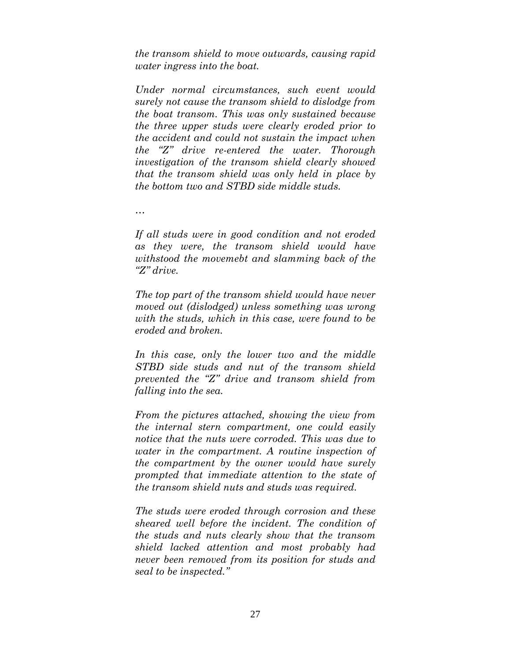*the transom shield to move outwards, causing rapid water ingress into the boat.* 

*Under normal circumstances, such event would surely not cause the transom shield to dislodge from the boat transom. This was only sustained because the three upper studs were clearly eroded prior to the accident and could not sustain the impact when the "Z" drive re-entered the water. Thorough investigation of the transom shield clearly showed that the transom shield was only held in place by the bottom two and STBD side middle studs.* 

*…* 

*If all studs were in good condition and not eroded as they were, the transom shield would have withstood the movemebt and slamming back of the "Z" drive.* 

*The top part of the transom shield would have never moved out (dislodged) unless something was wrong with the studs, which in this case, were found to be eroded and broken.* 

*In this case, only the lower two and the middle STBD side studs and nut of the transom shield prevented the "Z" drive and transom shield from falling into the sea.* 

*From the pictures attached, showing the view from the internal stern compartment, one could easily notice that the nuts were corroded. This was due to water in the compartment. A routine inspection of the compartment by the owner would have surely prompted that immediate attention to the state of the transom shield nuts and studs was required.* 

*The studs were eroded through corrosion and these sheared well before the incident. The condition of the studs and nuts clearly show that the transom shield lacked attention and most probably had never been removed from its position for studs and seal to be inspected."*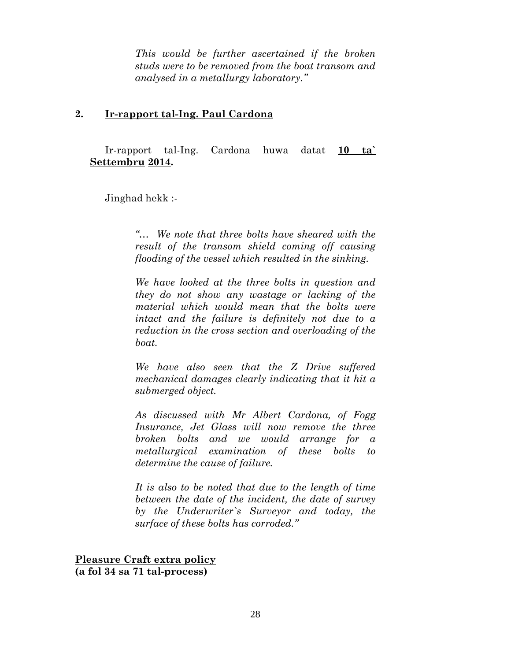*This would be further ascertained if the broken studs were to be removed from the boat transom and analysed in a metallurgy laboratory."* 

## **2. Ir-rapport tal-Ing. Paul Cardona**

Ir-rapport tal-Ing. Cardona huwa datat **10 ta` Settembru 2014.** 

Jinghad hekk :-

*"… We note that three bolts have sheared with the result of the transom shield coming off causing flooding of the vessel which resulted in the sinking.* 

*We have looked at the three bolts in question and they do not show any wastage or lacking of the material which would mean that the bolts were intact and the failure is definitely not due to a reduction in the cross section and overloading of the boat.* 

*We have also seen that the Z Drive suffered mechanical damages clearly indicating that it hit a submerged object.* 

*As discussed with Mr Albert Cardona, of Fogg Insurance, Jet Glass will now remove the three broken bolts and we would arrange for a metallurgical examination of these bolts to determine the cause of failure.* 

*It is also to be noted that due to the length of time between the date of the incident, the date of survey by the Underwriter`s Surveyor and today, the surface of these bolts has corroded."* 

**Pleasure Craft extra policy (a fol 34 sa 71 tal-process)**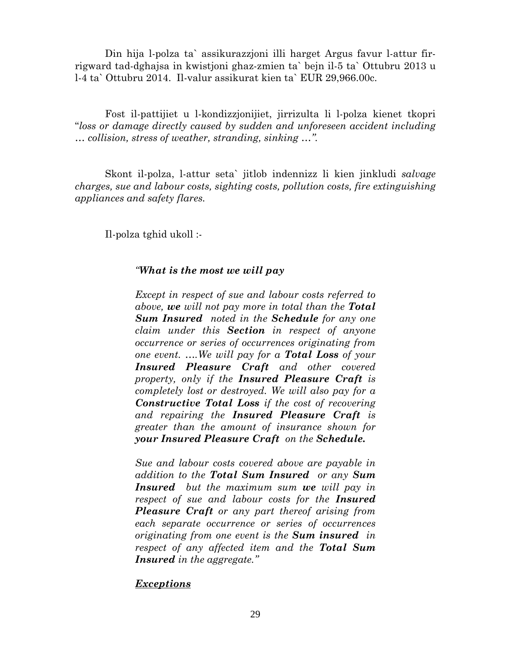Din hija l-polza ta` assikurazzjoni illi harget Argus favur l-attur firrigward tad-dghajsa in kwistjoni ghaz-zmien ta` bejn il-5 ta` Ottubru 2013 u l-4 ta` Ottubru 2014. Il-valur assikurat kien ta` EUR 29,966.00c.

Fost il-pattijiet u l-kondizzjonijiet, jirrizulta li l-polza kienet tkopri "*loss or damage directly caused by sudden and unforeseen accident including … collision, stress of weather, stranding, sinking …".* 

Skont il-polza, l-attur seta` jitlob indennizz li kien jinkludi *salvage charges, sue and labour costs, sighting costs, pollution costs, fire extinguishing appliances and safety flares.* 

Il-polza tghid ukoll :-

## *"What is the most we will pay*

*Except in respect of sue and labour costs referred to above, we will not pay more in total than the Total Sum Insured noted in the Schedule for any one claim under this Section in respect of anyone occurrence or series of occurrences originating from one event. ….We will pay for a Total Loss of your Insured Pleasure Craft and other covered property, only if the Insured Pleasure Craft is completely lost or destroyed. We will also pay for a Constructive Total Loss if the cost of recovering and repairing the Insured Pleasure Craft is greater than the amount of insurance shown for your Insured Pleasure Craft on the Schedule.* 

*Sue and labour costs covered above are payable in addition to the Total Sum Insured or any Sum Insured but the maximum sum we will pay in respect of sue and labour costs for the Insured Pleasure Craft or any part thereof arising from each separate occurrence or series of occurrences originating from one event is the Sum insured in respect of any affected item and the Total Sum Insured in the aggregate."* 

## *Exceptions*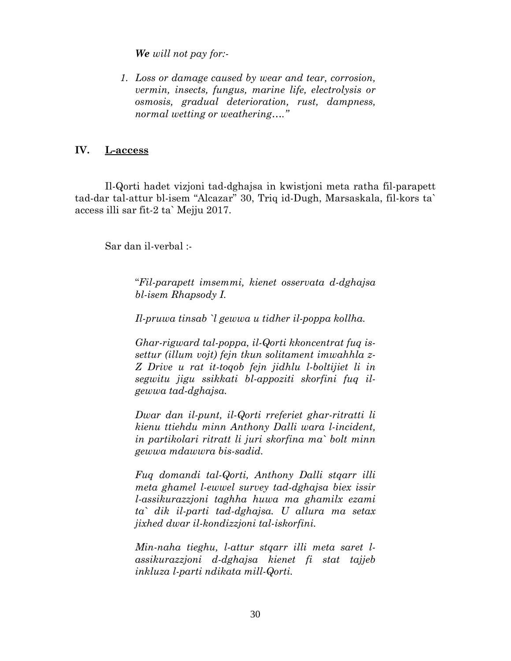*We will not pay for:-* 

*1. Loss or damage caused by wear and tear, corrosion, vermin, insects, fungus, marine life, electrolysis or osmosis, gradual deterioration, rust, dampness, normal wetting or weathering…."* 

## **IV. L-access**

Il-Qorti hadet vizjoni tad-dghajsa in kwistjoni meta ratha fil-parapett tad-dar tal-attur bl-isem "Alcazar" 30, Triq id-Dugh, Marsaskala, fil-kors ta` access illi sar fit-2 ta` Mejju 2017.

Sar dan il-verbal :-

"*Fil-parapett imsemmi, kienet osservata d-dghajsa bl-isem Rhapsody I.* 

*Il-pruwa tinsab `l gewwa u tidher il-poppa kollha.* 

*Ghar-rigward tal-poppa, il-Qorti kkoncentrat fuq issettur (illum vojt) fejn tkun solitament imwahhla z-Z Drive u rat it-toqob fejn jidhlu l-boltijiet li in segwitu jigu ssikkati bl-appoziti skorfini fuq ilgewwa tad-dghajsa.* 

*Dwar dan il-punt, il-Qorti rreferiet ghar-ritratti li kienu ttiehdu minn Anthony Dalli wara l-incident, in partikolari ritratt li juri skorfina ma` bolt minn gewwa mdawwra bis-sadid.* 

*Fuq domandi tal-Qorti, Anthony Dalli stqarr illi meta ghamel l-ewwel survey tad-dghajsa biex issir l-assikurazzjoni taghha huwa ma ghamilx ezami ta` dik il-parti tad-dghajsa. U allura ma setax jixhed dwar il-kondizzjoni tal-iskorfini.* 

*Min-naha tieghu, l-attur stqarr illi meta saret lassikurazzjoni d-dghajsa kienet fi stat tajjeb inkluza l-parti ndikata mill-Qorti.*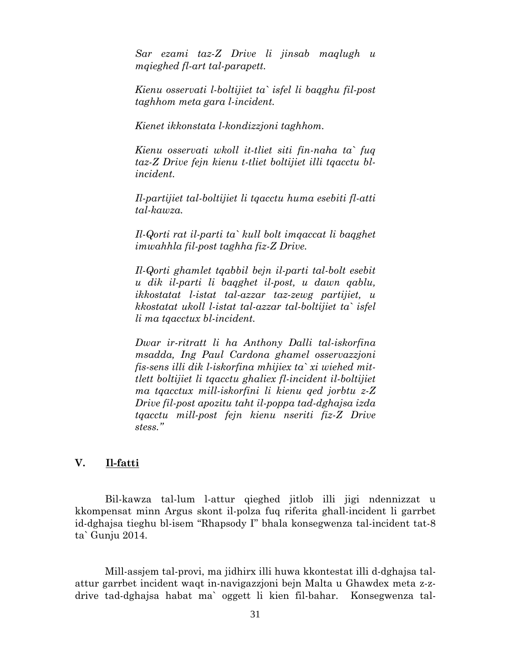*Sar ezami taz-Z Drive li jinsab maqlugh u mqieghed fl-art tal-parapett.* 

*Kienu osservati l-boltijiet ta` isfel li baqghu fil-post taghhom meta gara l-incident.* 

*Kienet ikkonstata l-kondizzjoni taghhom.* 

*Kienu osservati wkoll it-tliet siti fin-naha ta` fuq taz-Z Drive fejn kienu t-tliet boltijiet illi tqacctu blincident.* 

*Il-partijiet tal-boltijiet li tqacctu huma esebiti fl-atti tal-kawza.* 

*Il-Qorti rat il-parti ta` kull bolt imqaccat li baqghet imwahhla fil-post taghha fiz-Z Drive.* 

*Il-Qorti ghamlet tqabbil bejn il-parti tal-bolt esebit u dik il-parti li baqghet il-post, u dawn qablu, ikkostatat l-istat tal-azzar taz-zewg partijiet, u kkostatat ukoll l-istat tal-azzar tal-boltijiet ta` isfel li ma tqacctux bl-incident.* 

*Dwar ir-ritratt li ha Anthony Dalli tal-iskorfina msadda, Ing Paul Cardona ghamel osservazzjoni fis-sens illi dik l-iskorfina mhijiex ta` xi wiehed mittlett boltijiet li tqacctu ghaliex fl-incident il-boltijiet ma tqacctux mill-iskorfini li kienu qed jorbtu z-Z Drive fil-post apozitu taht il-poppa tad-dghajsa izda tqacctu mill-post fejn kienu nseriti fiz-Z Drive stess."* 

## **V. Il-fatti**

Bil-kawza tal-lum l-attur qieghed jitlob illi jigi ndennizzat u kkompensat minn Argus skont il-polza fuq riferita ghall-incident li garrbet id-dghajsa tieghu bl-isem "Rhapsody I" bhala konsegwenza tal-incident tat-8 ta` Gunju 2014.

 Mill-assjem tal-provi, ma jidhirx illi huwa kkontestat illi d-dghajsa talattur garrbet incident waqt in-navigazzjoni bejn Malta u Ghawdex meta z-zdrive tad-dghajsa habat ma` oggett li kien fil-bahar. Konsegwenza tal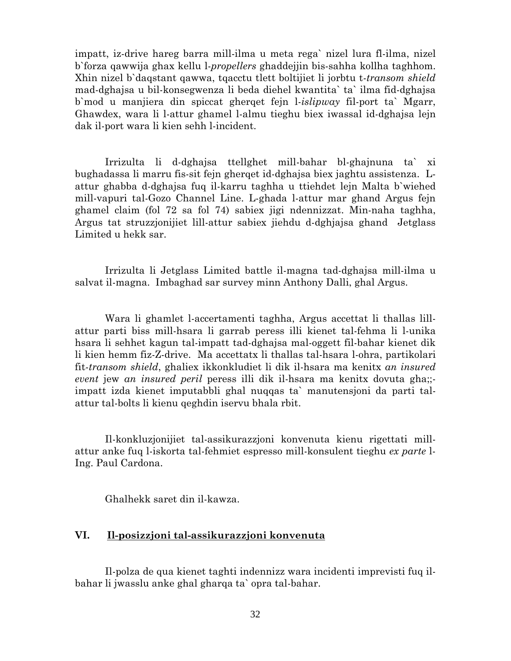impatt, iz-drive hareg barra mill-ilma u meta rega` nizel lura fl-ilma, nizel b`forza qawwija ghax kellu l-*propellers* ghaddejjin bis-sahha kollha taghhom. Xhin nizel b`daqstant qawwa, tqacctu tlett boltijiet li jorbtu t-*transom shield*  mad-dghajsa u bil-konsegwenza li beda diehel kwantita` ta` ilma fid-dghajsa b`mod u manjiera din spiccat gherqet fejn l-*islipway* fil-port ta` Mgarr, Ghawdex, wara li l-attur ghamel l-almu tieghu biex iwassal id-dghajsa lejn dak il-port wara li kien sehh l-incident.

 Irrizulta li d-dghajsa ttellghet mill-bahar bl-ghajnuna ta` xi bughadassa li marru fis-sit fejn gherqet id-dghajsa biex jaghtu assistenza. Lattur ghabba d-dghajsa fuq il-karru taghha u ttiehdet lejn Malta b`wiehed mill-vapuri tal-Gozo Channel Line. L-ghada l-attur mar ghand Argus fejn ghamel claim (fol 72 sa fol 74) sabiex jigi ndennizzat. Min-naha taghha, Argus tat struzzjonijiet lill-attur sabiex jiehdu d-dghjajsa ghand Jetglass Limited u hekk sar.

Irrizulta li Jetglass Limited battle il-magna tad-dghajsa mill-ilma u salvat il-magna. Imbaghad sar survey minn Anthony Dalli, ghal Argus.

Wara li ghamlet l-accertamenti taghha, Argus accettat li thallas lillattur parti biss mill-hsara li garrab peress illi kienet tal-fehma li l-unika hsara li sehhet kagun tal-impatt tad-dghajsa mal-oggett fil-bahar kienet dik li kien hemm fiz-Z-drive. Ma accettatx li thallas tal-hsara l-ohra, partikolari fit-*transom shield*, ghaliex ikkonkludiet li dik il-hsara ma kenitx *an insured event* jew *an insured peril* peress illi dik il-hsara ma kenitx dovuta gha;; impatt izda kienet imputabbli ghal nuqqas ta` manutensjoni da parti talattur tal-bolts li kienu qeghdin iservu bhala rbit.

Il-konkluzjonijiet tal-assikurazzjoni konvenuta kienu rigettati millattur anke fuq l-iskorta tal-fehmiet espresso mill-konsulent tieghu *ex parte* l-Ing. Paul Cardona.

Ghalhekk saret din il-kawza.

## **VI. Il-posizzjoni tal-assikurazzjoni konvenuta**

 Il-polza de qua kienet taghti indennizz wara incidenti imprevisti fuq ilbahar li jwasslu anke ghal gharqa ta` opra tal-bahar.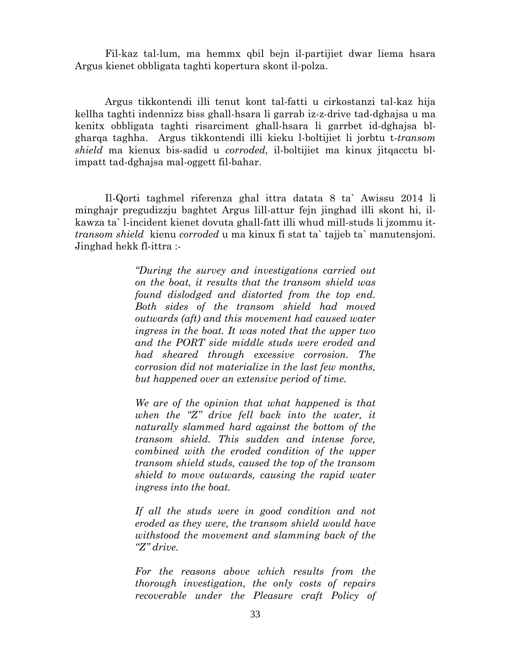Fil-kaz tal-lum, ma hemmx qbil bejn il-partijiet dwar liema hsara Argus kienet obbligata taghti kopertura skont il-polza.

 Argus tikkontendi illi tenut kont tal-fatti u cirkostanzi tal-kaz hija kellha taghti indennizz biss ghall-hsara li garrab iz-z-drive tad-dghajsa u ma kenitx obbligata taghti risarciment ghall-hsara li garrbet id-dghajsa blgharqa taghha. Argus tikkontendi illi kieku l-boltijiet li jorbtu t-*transom shield* ma kienux bis-sadid u *corroded,* il-boltijiet ma kinux jitqacctu blimpatt tad-dghajsa mal-oggett fil-bahar.

Il-Qorti taghmel riferenza ghal ittra datata 8 ta` Awissu 2014 li minghajr pregudizzju baghtet Argus lill-attur fejn jinghad illi skont hi, ilkawza ta` l-incident kienet dovuta ghall-fatt illi whud mill-studs li jzommu it*transom shield* kienu *corroded* u ma kinux fi stat ta` tajjeb ta` manutensjoni. Jinghad hekk fl-ittra :-

> *"During the survey and investigations carried out on the boat, it results that the transom shield was found dislodged and distorted from the top end. Both sides of the transom shield had moved outwards (aft) and this movement had caused water ingress in the boat. It was noted that the upper two and the PORT side middle studs were eroded and had sheared through excessive corrosion. The corrosion did not materialize in the last few months, but happened over an extensive period of time.*

> *We are of the opinion that what happened is that when the "Z" drive fell back into the water, it naturally slammed hard against the bottom of the transom shield. This sudden and intense force, combined with the eroded condition of the upper transom shield studs, caused the top of the transom shield to move outwards, causing the rapid water ingress into the boat.*

> *If all the studs were in good condition and not eroded as they were, the transom shield would have withstood the movement and slamming back of the "Z" drive.*

> *For the reasons above which results from the thorough investigation, the only costs of repairs recoverable under the Pleasure craft Policy of*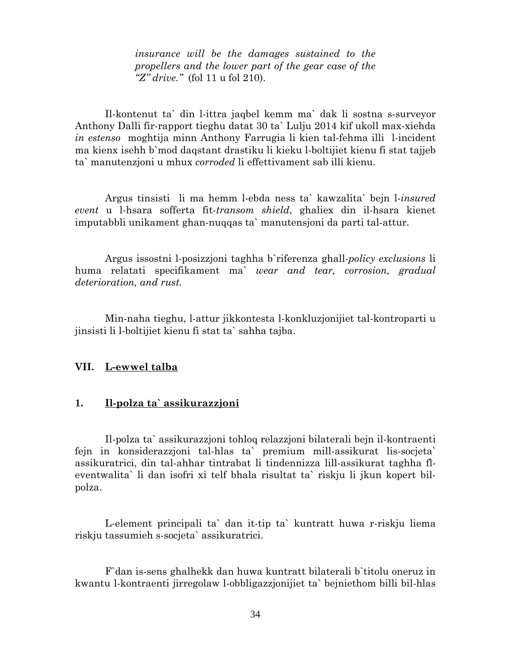*insurance will be the damages sustained to the propellers and the lower part of the gear case of the "Z" drive."* (fol 11 u fol 210).

 Il-kontenut ta` din l-ittra jaqbel kemm ma` dak li sostna s-surveyor Anthony Dalli fir-rapport tieghu datat 30 ta` Lulju 2014 kif ukoll max-xiehda *in estenso* moghtija minn Anthony Farrugia li kien tal-fehma illi l-incident ma kienx isehh b`mod daqstant drastiku li kieku l-boltijiet kienu fi stat tajjeb ta` manutenzjoni u mhux *corroded* li effettivament sab illi kienu.

Argus tinsisti li ma hemm l-ebda ness ta` kawzalita` bejn l-*insured event* u l-hsara sofferta fit-*transom shield*, ghaliex din il-hsara kienet imputabbli unikament ghan-nuqqas ta` manutensjoni da parti tal-attur.

Argus issostni l-posizzjoni taghha b`riferenza ghall-*policy exclusions* li huma relatati specifikament ma` *wear and tear, corrosion, gradual deterioration, and rust.* 

 Min-naha tieghu, l-attur jikkontesta l-konkluzjonijiet tal-kontroparti u jinsisti li l-boltijiet kienu fi stat ta` sahha tajba.

#### **VII. L-ewwel talba**

## **1. Il-polza ta` assikurazzjoni**

Il-polza ta` assikurazzjoni tohloq relazzjoni bilaterali bejn il-kontraenti fejn in konsiderazzjoni tal-hlas ta` premium mill-assikurat lis-socjeta` assikuratrici, din tal-ahhar tintrabat li tindennizza lill-assikurat taghha fleventwalita` li dan isofri xi telf bhala risultat ta` riskju li jkun kopert bilpolza.

L-element principali ta` dan it-tip ta` kuntratt huwa r-riskju liema riskju tassumieh s-socjeta` assikuratrici.

F`dan is-sens ghalhekk dan huwa kuntratt bilaterali b`titolu oneruz in kwantu l-kontraenti jirregolaw l-obbligazzjonijiet ta` bejniethom billi bil-hlas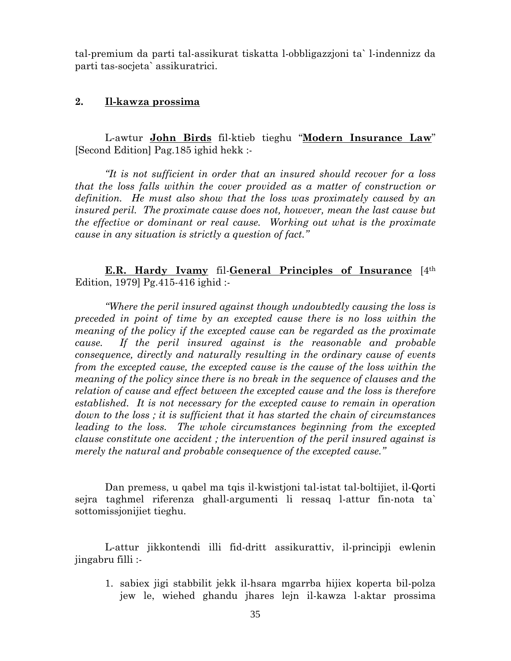tal-premium da parti tal-assikurat tiskatta l-obbligazzjoni ta` l-indennizz da parti tas-socjeta` assikuratrici.

### **2. Il-kawza prossima**

 L-awtur **John Birds** fil-ktieb tieghu "**Modern Insurance Law**" [Second Edition] Pag.185 ighid hekk :-

*"It is not sufficient in order that an insured should recover for a loss that the loss falls within the cover provided as a matter of construction or definition. He must also show that the loss was proximately caused by an insured peril. The proximate cause does not, however, mean the last cause but the effective or dominant or real cause. Working out what is the proximate cause in any situation is strictly a question of fact."* 

**E.R. Hardy Ivamy fil-General Principles of Insurance** [4<sup>th</sup> Edition, 1979] Pg.415-416 ighid :-

*"Where the peril insured against though undoubtedly causing the loss is preceded in point of time by an excepted cause there is no loss within the meaning of the policy if the excepted cause can be regarded as the proximate cause. If the peril insured against is the reasonable and probable consequence, directly and naturally resulting in the ordinary cause of events from the excepted cause, the excepted cause is the cause of the loss within the meaning of the policy since there is no break in the sequence of clauses and the relation of cause and effect between the excepted cause and the loss is therefore established. It is not necessary for the excepted cause to remain in operation down to the loss ; it is sufficient that it has started the chain of circumstances leading to the loss. The whole circumstances beginning from the excepted clause constitute one accident ; the intervention of the peril insured against is merely the natural and probable consequence of the excepted cause."* 

Dan premess, u qabel ma tqis il-kwistjoni tal-istat tal-boltijiet, il-Qorti sejra taghmel riferenza ghall-argumenti li ressaq l-attur fin-nota ta` sottomissjonijiet tieghu.

L-attur jikkontendi illi fid-dritt assikurattiv, il-principji ewlenin jingabru filli :-

1. sabiex jigi stabbilit jekk il-hsara mgarrba hijiex koperta bil-polza jew le, wiehed ghandu jhares lejn il-kawza l-aktar prossima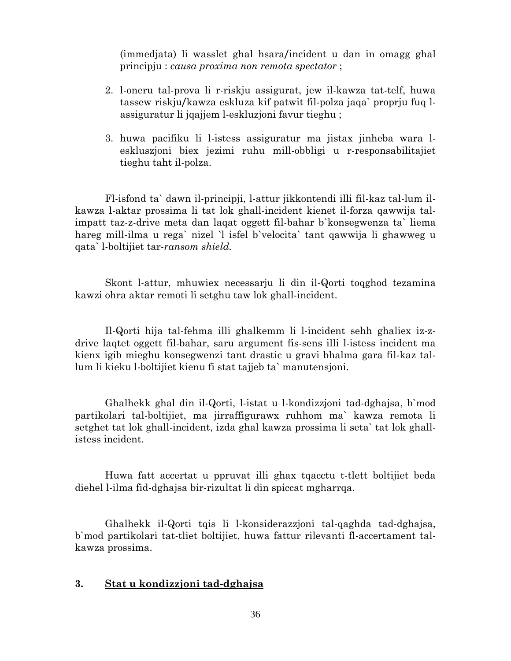(immedjata) li wasslet ghal hsara/incident u dan in omagg ghal principju : *causa proxima non remota spectator* ;

- 2. l-oneru tal-prova li r-riskju assigurat, jew il-kawza tat-telf, huwa tassew riskju/kawza eskluza kif patwit fil-polza jaqa` proprju fuq lassiguratur li jqajjem l-eskluzjoni favur tieghu ;
- 3. huwa pacifiku li l-istess assiguratur ma jistax jinheba wara leskluszjoni biex jezimi ruhu mill-obbligi u r-responsabilitajiet tieghu taht il-polza.

Fl-isfond ta` dawn il-principji, l-attur jikkontendi illi fil-kaz tal-lum ilkawza l-aktar prossima li tat lok ghall-incident kienet il-forza qawwija talimpatt taz-z-drive meta dan laqat oggett fil-bahar b`konsegwenza ta` liema hareg mill-ilma u rega` nizel `l isfel b`velocita` tant qawwija li ghawweg u qata` l-boltijiet tar-*ransom shield.*

Skont l-attur, mhuwiex necessarju li din il-Qorti toqghod tezamina kawzi ohra aktar remoti li setghu taw lok ghall-incident.

Il-Qorti hija tal-fehma illi ghalkemm li l-incident sehh ghaliex iz-zdrive laqtet oggett fil-bahar, saru argument fis-sens illi l-istess incident ma kienx igib mieghu konsegwenzi tant drastic u gravi bhalma gara fil-kaz tallum li kieku l-boltijiet kienu fi stat tajjeb ta` manutensjoni.

Ghalhekk ghal din il-Qorti, l-istat u l-kondizzjoni tad-dghajsa, b`mod partikolari tal-boltijiet, ma jirraffigurawx ruhhom ma` kawza remota li setghet tat lok ghall-incident, izda ghal kawza prossima li seta` tat lok ghallistess incident.

Huwa fatt accertat u ppruvat illi ghax tqacctu t-tlett boltijiet beda diehel l-ilma fid-dghajsa bir-rizultat li din spiccat mgharrqa.

Ghalhekk il-Qorti tqis li l-konsiderazzjoni tal-qaghda tad-dghajsa, b`mod partikolari tat-tliet boltijiet, huwa fattur rilevanti fl-accertament talkawza prossima.

## **3. Stat u kondizzjoni tad-dghajsa**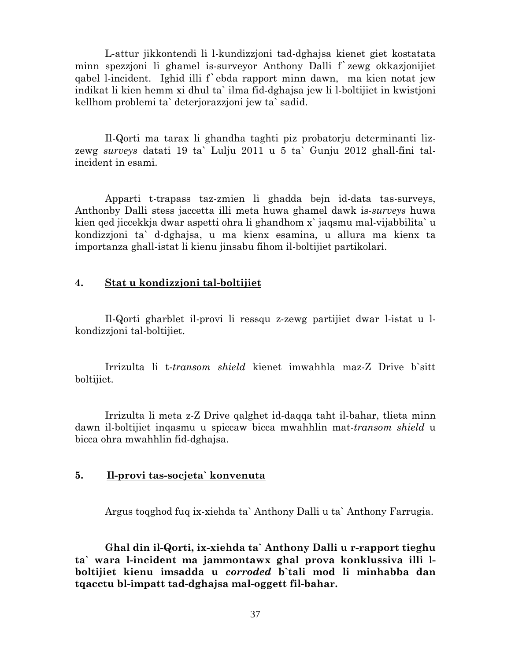L-attur jikkontendi li l-kundizzjoni tad-dghajsa kienet giet kostatata minn spezzjoni li ghamel is-surveyor Anthony Dalli f`zewg okkazjonijiet qabel l-incident. Ighid illi f`ebda rapport minn dawn, ma kien notat jew indikat li kien hemm xi dhul ta` ilma fid-dghajsa jew li l-boltijiet in kwistjoni kellhom problemi ta` deterjorazzjoni jew ta` sadid.

Il-Qorti ma tarax li ghandha taghti piz probatorju determinanti lizzewg *surveys* datati 19 ta` Lulju 2011 u 5 ta` Gunju 2012 ghall-fini talincident in esami.

Apparti t-trapass taz-zmien li ghadda bejn id-data tas-surveys, Anthonby Dalli stess jaccetta illi meta huwa ghamel dawk is-*surveys* huwa kien qed jiccekkja dwar aspetti ohra li ghandhom x` jaqsmu mal-vijabbilita` u kondizzjoni ta` d-dghajsa, u ma kienx esamina, u allura ma kienx ta importanza ghall-istat li kienu jinsabu fihom il-boltijiet partikolari.

#### **4. Stat u kondizzjoni tal-boltijiet**

Il-Qorti gharblet il-provi li ressqu z-zewg partijiet dwar l-istat u lkondizzjoni tal-boltijiet.

Irrizulta li t-*transom shield* kienet imwahhla maz-Z Drive b`sitt boltijiet.

Irrizulta li meta z-Z Drive qalghet id-daqqa taht il-bahar, tlieta minn dawn il-boltijiet inqasmu u spiccaw bicca mwahhlin mat-*transom shield* u bicca ohra mwahhlin fid-dghajsa.

#### **5. Il-provi tas-socjeta` konvenuta**

Argus toqghod fuq ix-xiehda ta` Anthony Dalli u ta` Anthony Farrugia.

**Ghal din il-Qorti, ix-xiehda ta` Anthony Dalli u r-rapport tieghu ta` wara l-incident ma jammontawx ghal prova konklussiva illi lboltijiet kienu imsadda u** *corroded* **b`tali mod li minhabba dan tqacctu bl-impatt tad-dghajsa mal-oggett fil-bahar.**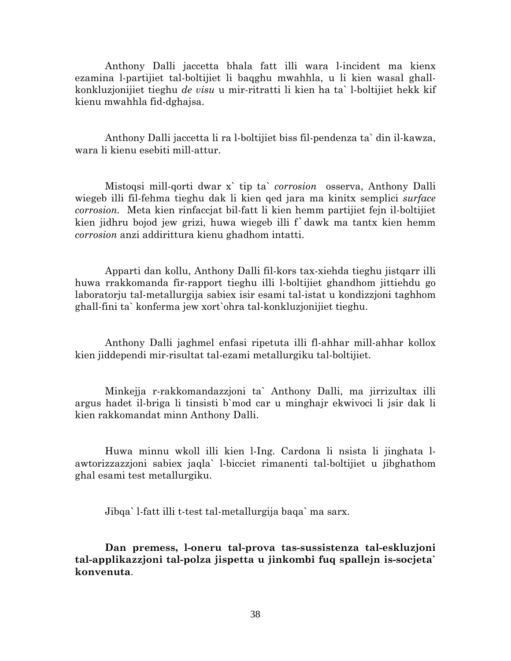Anthony Dalli jaccetta bhala fatt illi wara l-incident ma kienx ezamina l-partijiet tal-boltijiet li baqghu mwahhla, u li kien wasal ghallkonkluzjonijiet tieghu *de visu* u mir-ritratti li kien ha ta` l-boltijiet hekk kif kienu mwahhla fid-dghajsa.

Anthony Dalli jaccetta li ra l-boltijiet biss fil-pendenza ta` din il-kawza, wara li kienu esebiti mill-attur.

Mistoqsi mill-qorti dwar x` tip ta` *corrosion* osserva, Anthony Dalli wiegeb illi fil-fehma tieghu dak li kien qed jara ma kinitx semplici *surface corrosion.* Meta kien rinfaccjat bil-fatt li kien hemm partijiet fejn il-boltijiet kien jidhru bojod jew grizi, huwa wiegeb illi f`dawk ma tantx kien hemm *corrosion* anzi addirittura kienu ghadhom intatti.

Apparti dan kollu, Anthony Dalli fil-kors tax-xiehda tieghu jistqarr illi huwa rrakkomanda fir-rapport tieghu illi l-boltijiet ghandhom jittiehdu go laboratorju tal-metallurgija sabiex isir esami tal-istat u kondizzjoni taghhom ghall-fini ta` konferma jew xort`ohra tal-konkluzjonijiet tieghu.

Anthony Dalli jaghmel enfasi ripetuta illi fl-ahhar mill-ahhar kollox kien jiddependi mir-risultat tal-ezami metallurgiku tal-boltijiet.

Minkejja r-rakkomandazzjoni ta` Anthony Dalli, ma jirrizultax illi argus hadet il-briga li tinsisti b`mod car u minghajr ekwivoci li jsir dak li kien rakkomandat minn Anthony Dalli.

Huwa minnu wkoll illi kien l-Ing. Cardona li nsista li jinghata lawtorizzazzjoni sabiex jaqla` l-bicciet rimanenti tal-boltijiet u jibghathom ghal esami test metallurgiku.

Jibqa` l-fatt illi t-test tal-metallurgija baqa` ma sarx.

**Dan premess, l-oneru tal-prova tas-sussistenza tal-eskluzjoni tal-applikazzjoni tal-polza jispetta u jinkombi fuq spallejn is-socjeta` konvenuta**.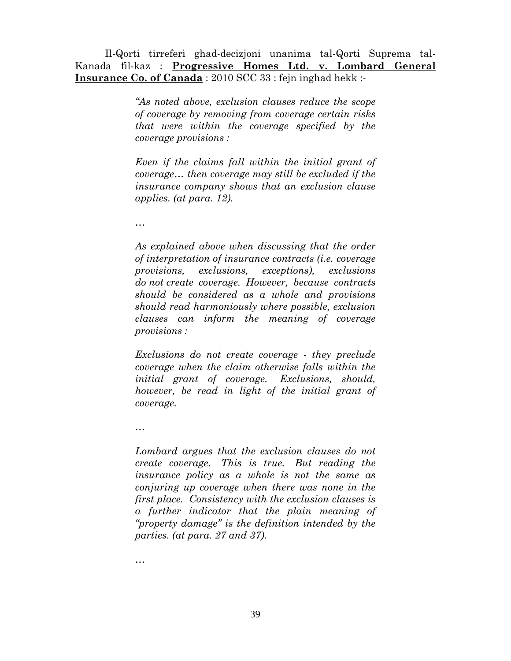Il-Qorti tirreferi ghad-decizjoni unanima tal-Qorti Suprema tal-Kanada fil-kaz : **Progressive Homes Ltd. v. Lombard General Insurance Co. of Canada** : 2010 SCC 33 : fejn inghad hekk :-

> *"As noted above, exclusion clauses reduce the scope of coverage by removing from coverage certain risks that were within the coverage specified by the coverage provisions :*

> *Even if the claims fall within the initial grant of coverage… then coverage may still be excluded if the insurance company shows that an exclusion clause applies. (at para. 12).*

*…* 

*As explained above when discussing that the order of interpretation of insurance contracts (i.e. coverage provisions, exclusions, exceptions), exclusions do not create coverage. However, because contracts should be considered as a whole and provisions should read harmoniously where possible, exclusion clauses can inform the meaning of coverage provisions :* 

*Exclusions do not create coverage - they preclude coverage when the claim otherwise falls within the initial grant of coverage. Exclusions, should, however, be read in light of the initial grant of coverage.* 

*…* 

*Lombard argues that the exclusion clauses do not create coverage. This is true. But reading the insurance policy as a whole is not the same as conjuring up coverage when there was none in the first place. Consistency with the exclusion clauses is a further indicator that the plain meaning of "property damage" is the definition intended by the parties. (at para. 27 and 37).* 

*…*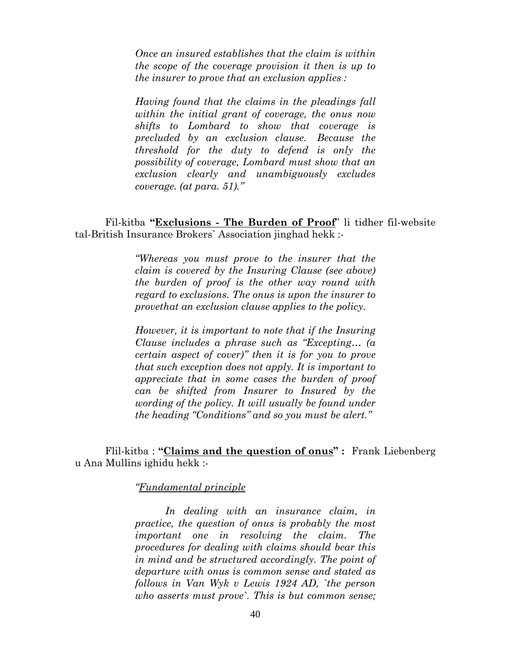*Once an insured establishes that the claim is within the scope of the coverage provision it then is up to the insurer to prove that an exclusion applies :* 

*Having found that the claims in the pleadings fall within the initial grant of coverage, the onus now shifts to Lombard to show that coverage is precluded by an exclusion clause. Because the threshold for the duty to defend is only the possibility of coverage, Lombard must show that an exclusion clearly and unambiguously excludes coverage. (at para. 51)."* 

 Fil-kitba **"Exclusions - The Burden of Proof**" li tidher fil-website tal-British Insurance Brokers` Association jinghad hekk :-

> *"Whereas you must prove to the insurer that the claim is covered by the Insuring Clause (see above) the burden of proof is the other way round with regard to exclusions. The onus is upon the insurer to provethat an exclusion clause applies to the policy.*

> *However, it is important to note that if the Insuring Clause includes a phrase such as "Excepting… (a certain aspect of cover)" then it is for you to prove that such exception does not apply. It is important to appreciate that in some cases the burden of proof can be shifted from Insurer to Insured by the wording of the policy. It will usually be found under the heading "Conditions" and so you must be alert."*

Flil-kitba : **"Claims and the question of onus" :** Frank Liebenberg u Ana Mullins ighidu hekk :-

*"Fundamental principle*

*In dealing with an insurance claim, in practice, the question of onus is probably the most important one in resolving the claim. The procedures for dealing with claims should bear this in mind and be structured accordingly. The point of departure with onus is common sense and stated as follows in Van Wyk v Lewis 1924 AD, `the person who asserts must prove`. This is but common sense;*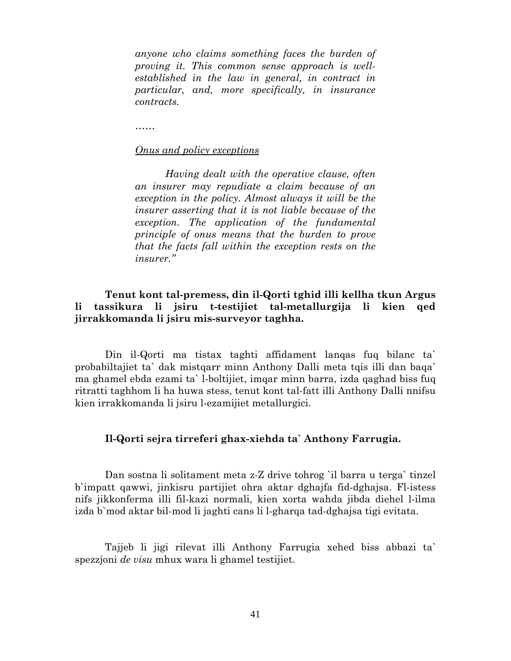*anyone who claims something faces the burden of proving it. This common sense approach is wellestablished in the law in general, in contract in particular, and, more specifically, in insurance contracts.* 

*……* 

#### *Onus and policy exceptions*

*Having dealt with the operative clause, often an insurer may repudiate a claim because of an exception in the policy. Almost always it will be the insurer asserting that it is not liable because of the exception. The application of the fundamental principle of onus means that the burden to prove that the facts fall within the exception rests on the insurer."* 

## **Tenut kont tal-premess, din il-Qorti tghid illi kellha tkun Argus li tassikura li jsiru t-testijiet tal-metallurgija li kien qed jirrakkomanda li jsiru mis-surveyor taghha.**

Din il-Qorti ma tistax taghti affidament lanqas fuq bilanc ta` probabiltajiet ta` dak mistqarr minn Anthony Dalli meta tqis illi dan baqa` ma ghamel ebda ezami ta` l-boltijiet, imqar minn barra, izda qaghad biss fuq ritratti taghhom li ha huwa stess, tenut kont tal-fatt illi Anthony Dalli nnifsu kien irrakkomanda li jsiru l-ezamijiet metallurgici.

#### **Il-Qorti sejra tirreferi ghax-xiehda ta` Anthony Farrugia.**

Dan sostna li solitament meta z-Z drive tohrog `il barra u terga` tinzel b`impatt qawwi, jinkisru partijiet ohra aktar dghajfa fid-dghajsa. Fl-istess nifs jikkonferma illi fil-kazi normali, kien xorta wahda jibda diehel l-ilma izda b`mod aktar bil-mod li jaghti cans li l-gharqa tad-dghajsa tigi evitata.

Tajjeb li jigi rilevat illi Anthony Farrugia xehed biss abbazi ta` spezzjoni *de visu* mhux wara li ghamel testijiet.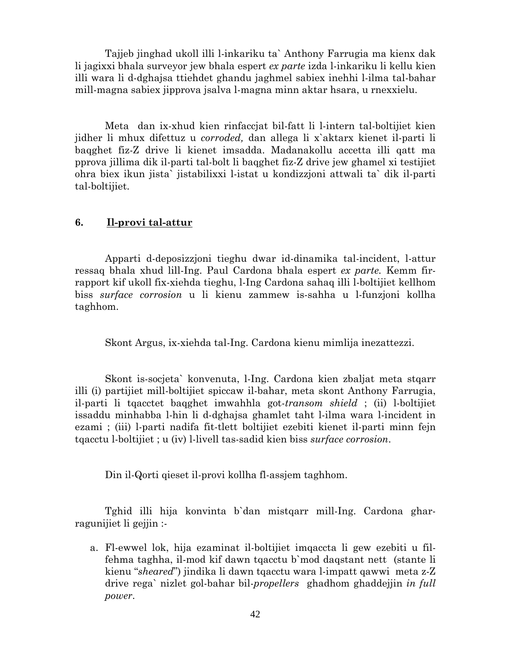Tajjeb jinghad ukoll illi l-inkariku ta` Anthony Farrugia ma kienx dak li jagixxi bhala surveyor jew bhala espert *ex parte* izda l-inkariku li kellu kien illi wara li d-dghajsa ttiehdet ghandu jaghmel sabiex inehhi l-ilma tal-bahar mill-magna sabiex jipprova jsalva l-magna minn aktar hsara, u rnexxielu.

Meta dan ix-xhud kien rinfaccjat bil-fatt li l-intern tal-boltijiet kien jidher li mhux difettuz u *corroded,* dan allega li x`aktarx kienet il-parti li baqghet fiz-Z drive li kienet imsadda. Madanakollu accetta illi qatt ma pprova jillima dik il-parti tal-bolt li baqghet fiz-Z drive jew ghamel xi testijiet ohra biex ikun jista` jistabilixxi l-istat u kondizzjoni attwali ta` dik il-parti tal-boltijiet.

#### **6. Il-provi tal-attur**

Apparti d-deposizzjoni tieghu dwar id-dinamika tal-incident, l-attur ressaq bhala xhud lill-Ing. Paul Cardona bhala espert *ex parte.* Kemm firrapport kif ukoll fix-xiehda tieghu, l-Ing Cardona sahaq illi l-boltijiet kellhom biss *surface corrosion* u li kienu zammew is-sahha u l-funzjoni kollha taghhom.

Skont Argus, ix-xiehda tal-Ing. Cardona kienu mimlija inezattezzi.

Skont is-socjeta` konvenuta, l-Ing. Cardona kien zbaljat meta stqarr illi (i) partijiet mill-boltijiet spiccaw il-bahar, meta skont Anthony Farrugia, il-parti li tqacctet baqghet imwahhla got-*transom shield* ; (ii) l-boltijiet issaddu minhabba l-hin li d-dghajsa ghamlet taht l-ilma wara l-incident in ezami ; (iii) l-parti nadifa fit-tlett boltijiet ezebiti kienet il-parti minn fejn tqacctu l-boltijiet ; u (iv) l-livell tas-sadid kien biss *surface corrosion*.

Din il-Qorti qieset il-provi kollha fl-assjem taghhom.

Tghid illi hija konvinta b`dan mistqarr mill-Ing. Cardona gharragunijiet li gejjin :-

a. Fl-ewwel lok, hija ezaminat il-boltijiet imqaccta li gew ezebiti u filfehma taghha, il-mod kif dawn tqacctu b`mod daqstant nett (stante li kienu "*sheared*") jindika li dawn tqacctu wara l-impatt qawwi meta z-Z drive rega` nizlet gol-bahar bil-*propellers* ghadhom ghaddejjin *in full power*.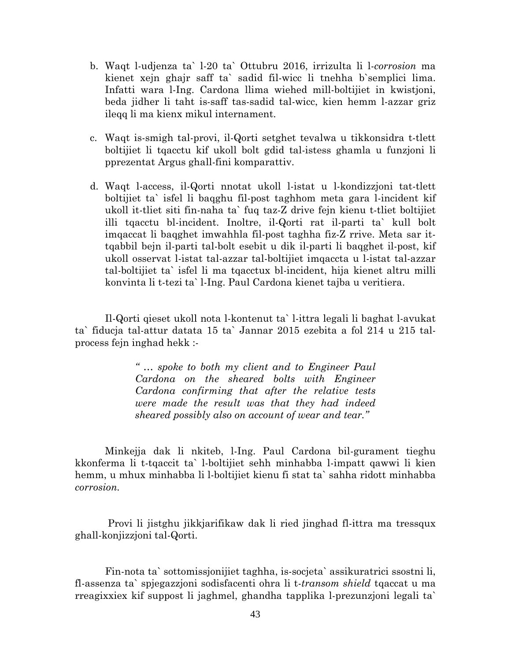- b. Waqt l-udjenza ta` l-20 ta` Ottubru 2016, irrizulta li l-*corrosion* ma kienet xejn ghajr saff ta` sadid fil-wicc li tnehha b`semplici lima. Infatti wara l-Ing. Cardona llima wiehed mill-boltijiet in kwistjoni, beda jidher li taht is-saff tas-sadid tal-wicc, kien hemm l-azzar griz ileqq li ma kienx mikul internament.
- c. Waqt is-smigh tal-provi, il-Qorti setghet tevalwa u tikkonsidra t-tlett boltijiet li tqacctu kif ukoll bolt gdid tal-istess ghamla u funzjoni li pprezentat Argus ghall-fini komparattiv.
- d. Waqt l-access, il-Qorti nnotat ukoll l-istat u l-kondizzjoni tat-tlett boltijiet ta` isfel li baqghu fil-post taghhom meta gara l-incident kif ukoll it-tliet siti fin-naha ta` fuq taz-Z drive fejn kienu t-tliet boltijiet illi tqacctu bl-incident. Inoltre, il-Qorti rat il-parti ta` kull bolt imqaccat li baqghet imwahhla fil-post taghha fiz-Z rrive. Meta sar ittqabbil bejn il-parti tal-bolt esebit u dik il-parti li baqghet il-post, kif ukoll osservat l-istat tal-azzar tal-boltijiet imqaccta u l-istat tal-azzar tal-boltijiet ta` isfel li ma tqacctux bl-incident, hija kienet altru milli konvinta li t-tezi ta` l-Ing. Paul Cardona kienet tajba u veritiera.

Il-Qorti qieset ukoll nota l-kontenut ta` l-ittra legali li baghat l-avukat ta` fiducja tal-attur datata 15 ta` Jannar 2015 ezebita a fol 214 u 215 talprocess fejn inghad hekk :-

> *" … spoke to both my client and to Engineer Paul Cardona on the sheared bolts with Engineer Cardona confirming that after the relative tests were made the result was that they had indeed sheared possibly also on account of wear and tear."*

Minkejja dak li nkiteb, l-Ing. Paul Cardona bil-gurament tieghu kkonferma li t-tqaccit ta` l-boltijiet sehh minhabba l-impatt qawwi li kien hemm, u mhux minhabba li l-boltijiet kienu fi stat ta` sahha ridott minhabba *corrosion.* 

 Provi li jistghu jikkjarifikaw dak li ried jinghad fl-ittra ma tressqux ghall-konjizzjoni tal-Qorti.

 Fin-nota ta` sottomissjonijiet taghha, is-socjeta` assikuratrici ssostni li, fl-assenza ta` spjegazzjoni sodisfacenti ohra li t-*transom shield* tqaccat u ma rreagixxiex kif suppost li jaghmel, ghandha tapplika l-prezunzjoni legali ta`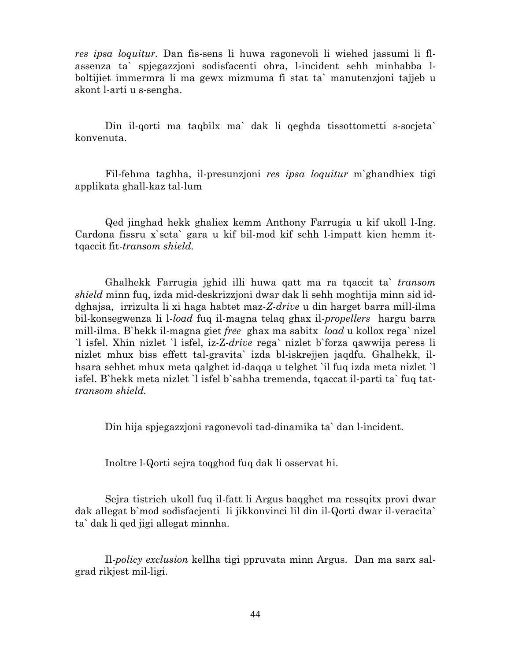*res ipsa loquitur.* Dan fis-sens li huwa ragonevoli li wiehed jassumi li flassenza ta` spjegazzjoni sodisfacenti ohra, l-incident sehh minhabba lboltijiet immermra li ma gewx mizmuma fi stat ta` manutenzjoni tajjeb u skont l-arti u s-sengha.

Din il-qorti ma taqbilx ma` dak li qeghda tissottometti s-socjeta` konvenuta.

Fil-fehma taghha, il-presunzjoni *res ipsa loquitur* m`ghandhiex tigi applikata ghall-kaz tal-lum

Qed jinghad hekk ghaliex kemm Anthony Farrugia u kif ukoll l-Ing. Cardona fissru x`seta` gara u kif bil-mod kif sehh l-impatt kien hemm ittqaccit fit-*transom shield.* 

Ghalhekk Farrugia jghid illi huwa qatt ma ra tqaccit ta` *transom shield* minn fuq, izda mid-deskrizzjoni dwar dak li sehh moghtija minn sid iddghajsa, irrizulta li xi haga habtet maz-*Z*-*drive* u din harget barra mill-ilma bil-konsegwenza li l-*load* fuq il-magna telaq ghax il-*propellers* hargu barra mill-ilma. B`hekk il-magna giet *free* ghax ma sabitx *load* u kollox rega` nizel `l isfel. Xhin nizlet `l isfel, iz-Z-*drive* rega` nizlet b`forza qawwija peress li nizlet mhux biss effett tal-gravita` izda bl-iskrejjen jaqdfu. Ghalhekk, ilhsara sehhet mhux meta qalghet id-daqqa u telghet `il fuq izda meta nizlet `l isfel. B`hekk meta nizlet `l isfel b`sahha tremenda, tqaccat il-parti ta` fuq tat*transom shield.*

Din hija spjegazzjoni ragonevoli tad-dinamika ta` dan l-incident.

Inoltre l-Qorti sejra toqghod fuq dak li osservat hi.

Sejra tistrieh ukoll fuq il-fatt li Argus baqghet ma ressqitx provi dwar dak allegat b`mod sodisfacjenti li jikkonvinci lil din il-Qorti dwar il-veracita` ta` dak li qed jigi allegat minnha.

Il-*policy exclusion* kellha tigi ppruvata minn Argus. Dan ma sarx salgrad rikjest mil-ligi.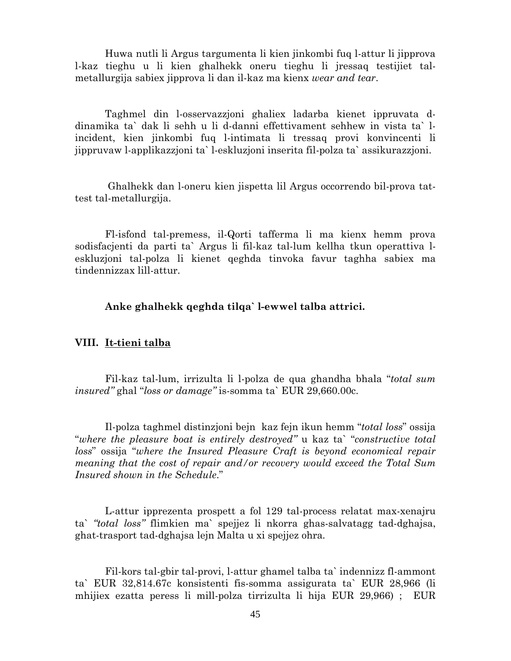Huwa nutli li Argus targumenta li kien jinkombi fuq l-attur li jipprova l-kaz tieghu u li kien ghalhekk oneru tieghu li jressaq testijiet talmetallurgija sabiex jipprova li dan il-kaz ma kienx *wear and tear*.

Taghmel din l-osservazzjoni ghaliex ladarba kienet ippruvata ddinamika ta` dak li sehh u li d-danni effettivament sehhew in vista ta` lincident, kien jinkombi fuq l-intimata li tressaq provi konvincenti li jippruvaw l-applikazzjoni ta` l-eskluzjoni inserita fil-polza ta` assikurazzjoni.

 Ghalhekk dan l-oneru kien jispetta lil Argus occorrendo bil-prova tattest tal-metallurgija.

Fl-isfond tal-premess, il-Qorti tafferma li ma kienx hemm prova sodisfacjenti da parti ta` Argus li fil-kaz tal-lum kellha tkun operattiva leskluzjoni tal-polza li kienet qeghda tinvoka favur taghha sabiex ma tindennizzax lill-attur.

**Anke ghalhekk qeghda tilqa` l-ewwel talba attrici.** 

#### **VIII. It-tieni talba**

Fil-kaz tal-lum, irrizulta li l-polza de qua ghandha bhala "*total sum insured"* ghal "*loss or damage"* is-somma ta` EUR 29,660.00c.

Il-polza taghmel distinzjoni bejn kaz fejn ikun hemm "*total loss*" ossija "*where the pleasure boat is entirely destroyed"* u kaz ta` "*constructive total loss*" ossija "*where the Insured Pleasure Craft is beyond economical repair meaning that the cost of repair and/or recovery would exceed the Total Sum Insured shown in the Schedule*."

L-attur ipprezenta prospett a fol 129 tal-process relatat max-xenajru ta` *"total loss"* flimkien ma` spejjez li nkorra ghas-salvatagg tad-dghajsa, ghat-trasport tad-dghajsa lejn Malta u xi spejjez ohra*.* 

Fil-kors tal-gbir tal-provi, l-attur ghamel talba ta` indennizz fl-ammont ta` EUR 32,814.67c konsistenti fis-somma assigurata ta` EUR 28,966 (li mhijiex ezatta peress li mill-polza tirrizulta li hija EUR 29,966) ; EUR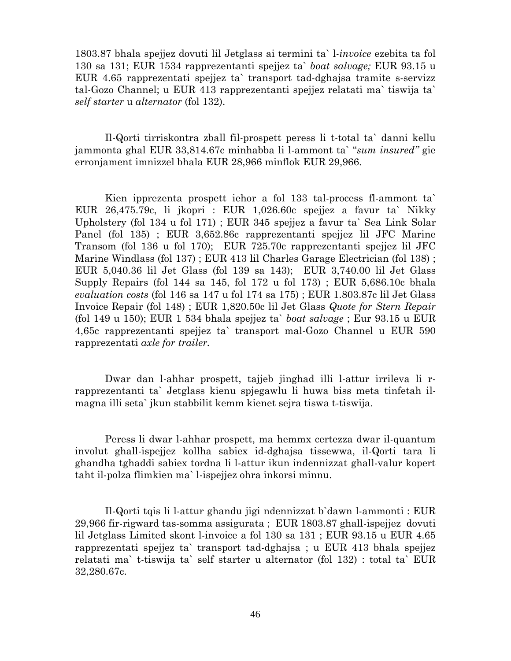1803.87 bhala spejjez dovuti lil Jetglass ai termini ta` l-*invoice* ezebita ta fol 130 sa 131; EUR 1534 rapprezentanti spejjez ta` *boat salvage;* EUR 93.15 u EUR 4.65 rapprezentati spejjez ta` transport tad-dghajsa tramite s-servizz tal-Gozo Channel; u EUR 413 rapprezentanti spejjez relatati ma` tiswija ta` *self starter* u *alternator* (fol 132).

Il-Qorti tirriskontra zball fil-prospett peress li t-total ta` danni kellu jammonta ghal EUR 33,814.67c minhabba li l-ammont ta` "*sum insured"* gie erronjament imnizzel bhala EUR 28,966 minflok EUR 29,966.

Kien ipprezenta prospett iehor a fol 133 tal-process fl-ammont ta` EUR 26,475.79c, li jkopri : EUR 1,026.60c spejjez a favur ta` Nikky Upholstery (fol 134 u fol 171) ; EUR 345 spejjez a favur ta` Sea Link Solar Panel (fol 135) ; EUR 3,652.86c rapprezentanti spejjez lil JFC Marine Transom (fol 136 u fol 170); EUR 725.70c rapprezentanti spejjez lil JFC Marine Windlass (fol 137) ; EUR 413 lil Charles Garage Electrician (fol 138) ; EUR 5,040.36 lil Jet Glass (fol 139 sa 143); EUR 3,740.00 lil Jet Glass Supply Repairs (fol 144 sa 145, fol 172 u fol 173) ; EUR 5,686.10c bhala *evaluation costs* (fol 146 sa 147 u fol 174 sa 175) ; EUR 1.803.87c lil Jet Glass Invoice Repair (fol 148) ; EUR 1,820.50c lil Jet Glass *Quote for Stern Repair* (fol 149 u 150); EUR 1 534 bhala spejjez ta` *boat salvage* ; Eur 93.15 u EUR 4,65c rapprezentanti spejjez ta` transport mal-Gozo Channel u EUR 590 rapprezentati *axle for trailer.* 

Dwar dan l-ahhar prospett, tajjeb jinghad illi l-attur irrileva li rrapprezentanti ta` Jetglass kienu spjegawlu li huwa biss meta tinfetah ilmagna illi seta` jkun stabbilit kemm kienet sejra tiswa t-tiswija.

 Peress li dwar l-ahhar prospett, ma hemmx certezza dwar il-quantum involut ghall-ispejjez kollha sabiex id-dghajsa tissewwa, il-Qorti tara li ghandha tghaddi sabiex tordna li l-attur ikun indennizzat ghall-valur kopert taht il-polza flimkien ma` l-ispejjez ohra inkorsi minnu.

 Il-Qorti tqis li l-attur ghandu jigi ndennizzat b`dawn l-ammonti : EUR 29,966 fir-rigward tas-somma assigurata ; EUR 1803.87 ghall-ispejjez dovuti lil Jetglass Limited skont l-invoice a fol 130 sa 131 ; EUR 93.15 u EUR 4.65 rapprezentati spejjez ta` transport tad-dghajsa ; u EUR 413 bhala spejjez relatati ma` t-tiswija ta` self starter u alternator (fol 132) : total ta` EUR 32,280.67c.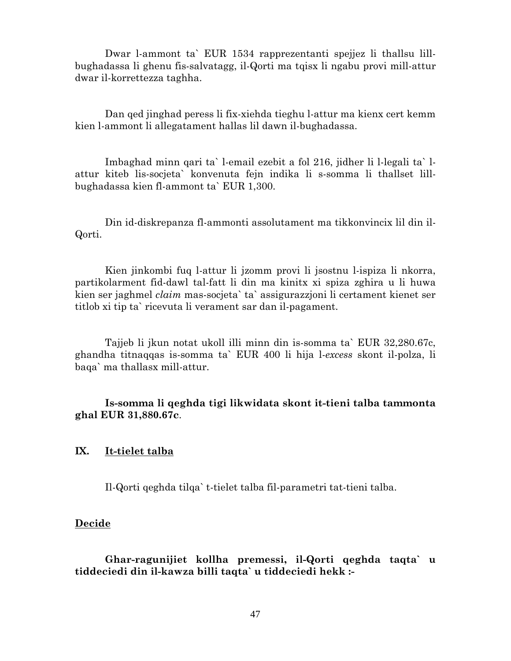Dwar l-ammont ta` EUR 1534 rapprezentanti spejjez li thallsu lillbughadassa li ghenu fis-salvatagg, il-Qorti ma tqisx li ngabu provi mill-attur dwar il-korrettezza taghha.

Dan qed jinghad peress li fix-xiehda tieghu l-attur ma kienx cert kemm kien l-ammont li allegatament hallas lil dawn il-bughadassa.

Imbaghad minn qari ta` l-email ezebit a fol 216, jidher li l-legali ta` lattur kiteb lis-socjeta` konvenuta fejn indika li s-somma li thallset lillbughadassa kien fl-ammont ta` EUR 1,300.

Din id-diskrepanza fl-ammonti assolutament ma tikkonvincix lil din il-Qorti.

Kien jinkombi fuq l-attur li jzomm provi li jsostnu l-ispiza li nkorra, partikolarment fid-dawl tal-fatt li din ma kinitx xi spiza zghira u li huwa kien ser jaghmel *claim* mas-socjeta` ta` assigurazzjoni li certament kienet ser titlob xi tip ta` ricevuta li verament sar dan il-pagament.

Tajjeb li jkun notat ukoll illi minn din is-somma ta` EUR 32,280.67c, ghandha titnaqqas is-somma ta` EUR 400 li hija l-*excess* skont il-polza, li baqa` ma thallasx mill-attur.

**Is-somma li qeghda tigi likwidata skont it-tieni talba tammonta ghal EUR 31,880.67c**.

#### **IX. It-tielet talba**

Il-Qorti qeghda tilqa` t-tielet talba fil-parametri tat-tieni talba.

#### **Decide**

**Ghar-ragunijiet kollha premessi, il-Qorti qeghda taqta` u tiddeciedi din il-kawza billi taqta` u tiddeciedi hekk :-**